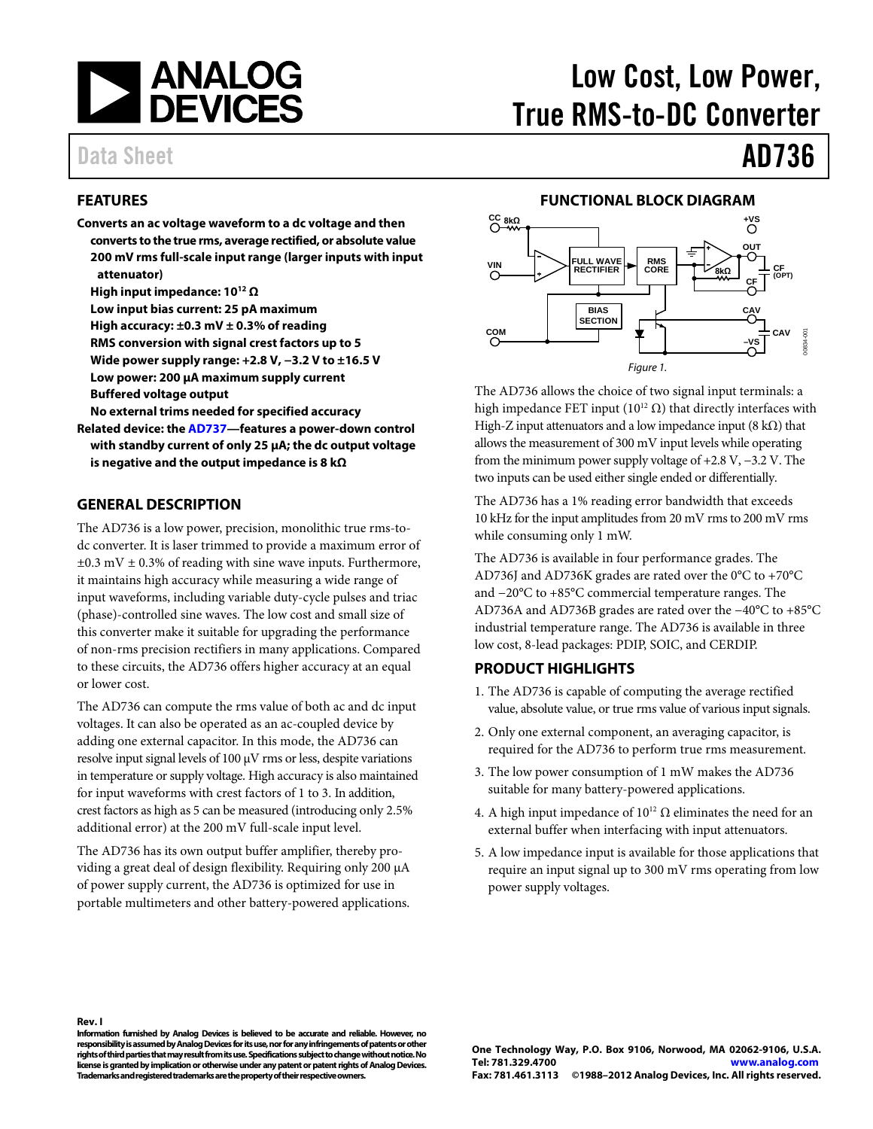

## Data Sheet **AD736**

#### <span id="page-0-0"></span>**FEATURES**

- **Converts an ac voltage waveform to a dc voltage and then converts to the true rms, average rectified, or absolute value 200 mV rms full-scale input range (larger inputs with input attenuator)** 
	- **High input impedance: 1012 Ω**
	- **Low input bias current: 25 pA maximum**
	- **High accuracy: ±0.3 mV ± 0.3% of reading**
	- **RMS conversion with signal crest factors up to 5**
	- **Wide power supply range: +2.8 V, −3.2 V to ±16.5 V**
	- **Low power: 200 µA maximum supply current**
	- **Buffered voltage output**

**No external trims needed for specified accuracy** 

**Related device: the [AD737—](http://www.analog.com/AD737)features a power-down control with standby current of only 25 μA; the dc output voltage is negative and the output impedance is 8 kΩ**

#### <span id="page-0-1"></span>**GENERAL DESCRIPTION**

The AD736 is a low power, precision, monolithic true rms-todc converter. It is laser trimmed to provide a maximum error of  $\pm 0.3$  mV  $\pm$  0.3% of reading with sine wave inputs. Furthermore, it maintains high accuracy while measuring a wide range of input waveforms, including variable duty-cycle pulses and triac (phase)-controlled sine waves. The low cost and small size of this converter make it suitable for upgrading the performance of non-rms precision rectifiers in many applications. Compared to these circuits, the AD736 offers higher accuracy at an equal or lower cost.

The AD736 can compute the rms value of both ac and dc input voltages. It can also be operated as an ac-coupled device by adding one external capacitor. In this mode, the AD736 can resolve input signal levels of 100 μV rms or less, despite variations in temperature or supply voltage. High accuracy is also maintained for input waveforms with crest factors of 1 to 3. In addition, crest factors as high as 5 can be measured (introducing only 2.5% additional error) at the 200 mV full-scale input level.

The AD736 has its own output buffer amplifier, thereby providing a great deal of design flexibility. Requiring only 200 µA of power supply current, the AD736 is optimized for use in portable multimeters and other battery-powered applications.

# Low Cost, Low Power, True RMS-to-DC Converter

#### **FUNCTIONAL BLOCK DIAGRAM**

<span id="page-0-2"></span>

The AD736 allows the choice of two signal input terminals: a high impedance FET input ( $10^{12} \Omega$ ) that directly interfaces with High-Z input attenuators and a low impedance input  $(8 \text{ k}\Omega)$  that allows the measurement of 300 mV input levels while operating from the minimum power supply voltage of +2.8 V, −3.2 V. The two inputs can be used either single ended or differentially.

The AD736 has a 1% reading error bandwidth that exceeds 10 kHz for the input amplitudes from 20 mV rms to 200 mV rms while consuming only 1 mW.

The AD736 is available in four performance grades. The AD736J and AD736K grades are rated over the 0°C to +70°C and −20°C to +85°C commercial temperature ranges. The AD736A and AD736B grades are rated over the −40°C to +85°C industrial temperature range. The AD736 is available in three low cost, 8-lead packages: PDIP, SOIC, and CERDIP.

#### <span id="page-0-3"></span>**PRODUCT HIGHLIGHTS**

- 1. The AD736 is capable of computing the average rectified value, absolute value, or true rms value of various input signals.
- 2. Only one external component, an averaging capacitor, is required for the AD736 to perform true rms measurement.
- 3. The low power consumption of 1 mW makes the AD736 suitable for many battery-powered applications.
- 4. A high input impedance of  $10^{12} \Omega$  eliminates the need for an external buffer when interfacing with input attenuators.
- 5. A low impedance input is available for those applications that require an input signal up to 300 mV rms operating from low power supply voltages.

**Rev. I**

**Information furnished by Analog Devices is believed to be accurate and reliable. However, no responsibility is assumed by Analog Devices for its use, nor for any infringements of patents or other rights of third parties that may result from its use. Specifications subject to change without notice. No license is granted by implication or otherwise under any patent or patent rights of Analog Devices. Trademarks and registered trademarks are the property of their respective owners.**

**One Technology Way, P.O. Box 9106, Norwood, MA 02062-9106, U.S.A. Tel: 781.329.4700 [www.analog.com](http://www.analog.com/) Fax: 781.461.3113 ©1988–2012 Analog Devices, Inc. All rights reserved.**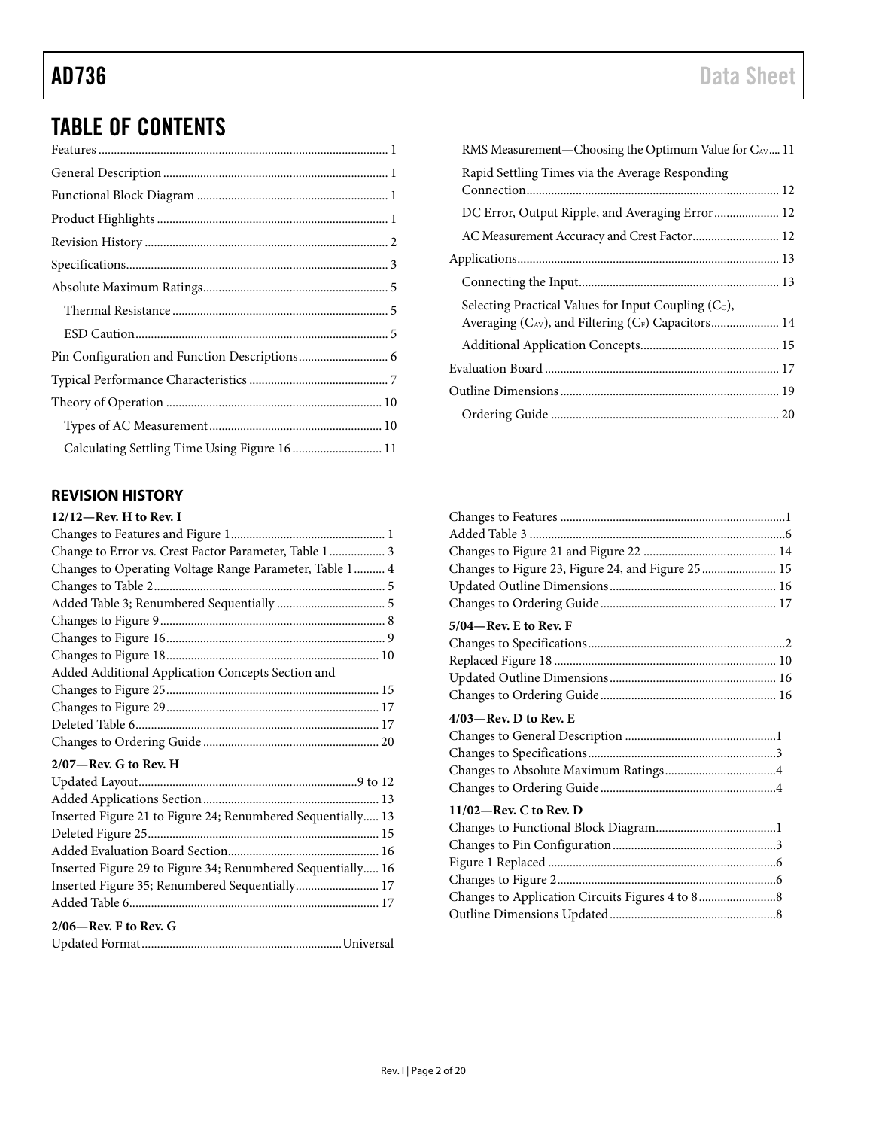## AD736 Data Sheet

## TABLE OF CONTENTS

| Calculating Settling Time Using Figure 16  11 |  |
|-----------------------------------------------|--|

### <span id="page-1-0"></span>**REVISION HISTORY**

| $12/12$ —Rev. H to Rev. I                                   |
|-------------------------------------------------------------|
|                                                             |
| Change to Error vs. Crest Factor Parameter, Table 1  3      |
| Changes to Operating Voltage Range Parameter, Table 1 4     |
|                                                             |
|                                                             |
|                                                             |
|                                                             |
|                                                             |
| Added Additional Application Concepts Section and           |
|                                                             |
|                                                             |
|                                                             |
|                                                             |
| $2/07$ —Rev. G to Rev. H                                    |
|                                                             |
|                                                             |
| Inserted Figure 21 to Figure 24; Renumbered Sequentially 13 |
|                                                             |

| $\frac{1}{2}$ inscribed a gard $\frac{1}{2}$ to a gard $\frac{2}{3}$ , incriding the original plane is |  |
|--------------------------------------------------------------------------------------------------------|--|
|                                                                                                        |  |
|                                                                                                        |  |
| Inserted Figure 29 to Figure 34; Renumbered Sequentially 16                                            |  |
| Inserted Figure 35; Renumbered Sequentially 17                                                         |  |
|                                                                                                        |  |
| $2/06$ —Rev. F to Rev. G                                                                               |  |
|                                                                                                        |  |
|                                                                                                        |  |

| Changes to Figure 23, Figure 24, and Figure 25  15 |  |
|----------------------------------------------------|--|
|                                                    |  |
|                                                    |  |
| 5/04—Rev. E to Rev. F                              |  |
|                                                    |  |
|                                                    |  |
|                                                    |  |
|                                                    |  |
| $4/03$ —Rev. D to Rev. E                           |  |
|                                                    |  |
|                                                    |  |
|                                                    |  |
|                                                    |  |
| $11/02$ —Rev. C to Rev. D                          |  |
|                                                    |  |
|                                                    |  |
|                                                    |  |
|                                                    |  |
|                                                    |  |
|                                                    |  |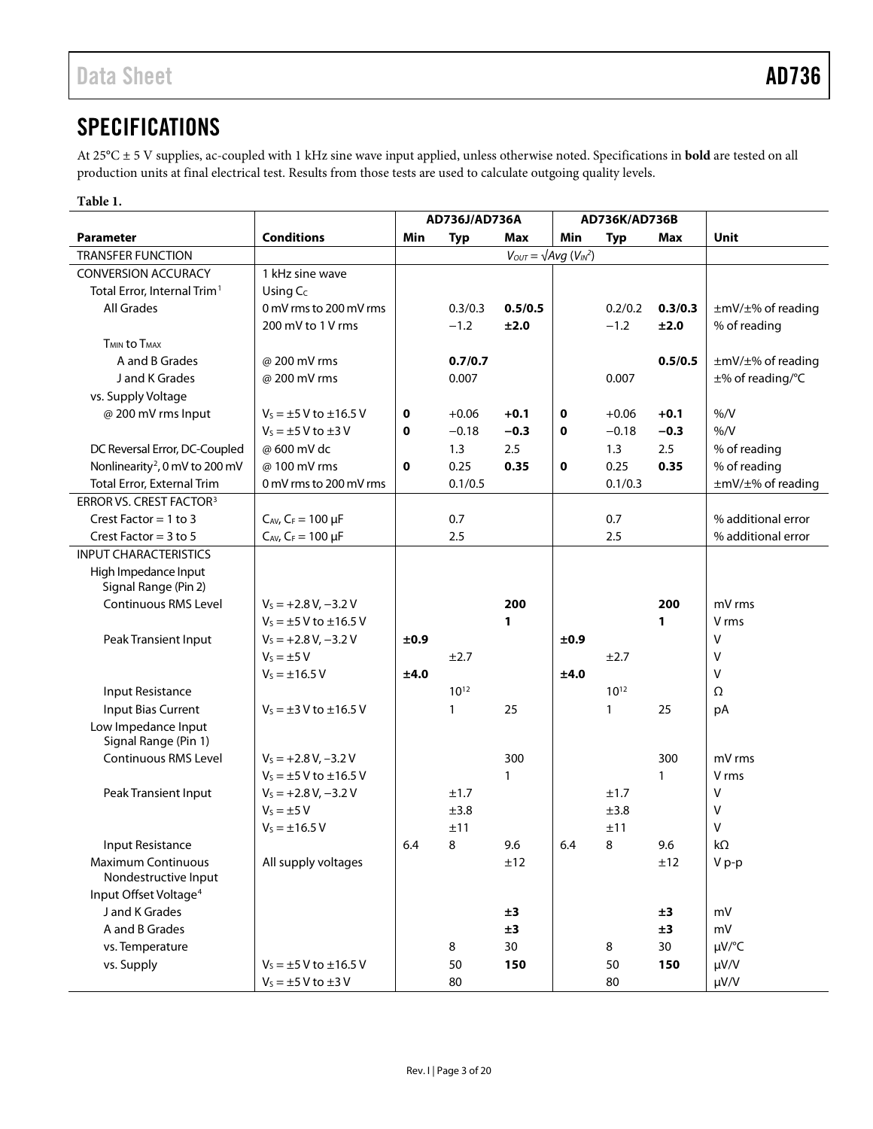### <span id="page-2-0"></span>**SPECIFICATIONS**

At 25°C ± 5 V supplies, ac-coupled with 1 kHz sine wave input applied, unless otherwise noted. Specifications in **bold** are tested on all production units at final electrical test. Results from those tests are used to calculate outgoing quality levels.

#### **Table 1.**

|                                             |                                 | AD736J/AD736A |            | AD736K/AD736B |      |              |         |                    |
|---------------------------------------------|---------------------------------|---------------|------------|---------------|------|--------------|---------|--------------------|
| Parameter                                   | <b>Conditions</b>               | Min           | <b>Typ</b> | Max           | Min  | <b>Typ</b>   | Max     | Unit               |
| <b>TRANSFER FUNCTION</b>                    |                                 |               |            |               |      |              |         |                    |
| <b>CONVERSION ACCURACY</b>                  | 1 kHz sine wave                 |               |            |               |      |              |         |                    |
| Total Error, Internal Trim <sup>1</sup>     | Using $C_c$                     |               |            |               |      |              |         |                    |
| <b>All Grades</b>                           | 0 mV rms to 200 mV rms          |               | 0.3/0.3    | 0.5/0.5       |      | 0.2/0.2      | 0.3/0.3 | ±mV/±% of reading  |
|                                             | 200 mV to 1 V rms               |               | $-1.2$     | ±2.0          |      | $-1.2$       | ±2.0    | % of reading       |
| <b>T<sub>MIN</sub></b> to T <sub>MAX</sub>  |                                 |               |            |               |      |              |         |                    |
| A and B Grades                              | @ 200 mV rms                    |               | 0.7/0.7    |               |      |              | 0.5/0.5 | ±mV/±% of reading  |
| J and K Grades                              | @ 200 mV rms                    |               | 0.007      |               |      | 0.007        |         | ±% of reading/°C   |
| vs. Supply Voltage                          |                                 |               |            |               |      |              |         |                    |
| @ 200 mV rms Input                          | $V_s = \pm 5$ V to $\pm 16.5$ V | 0             | $+0.06$    | $+0.1$        | 0    | $+0.06$      | $+0.1$  | % /V               |
|                                             | $V_s = \pm 5$ V to $\pm 3$ V    | 0             | $-0.18$    | $-0.3$        | 0    | $-0.18$      | $-0.3$  | % /V               |
| DC Reversal Error, DC-Coupled               | @ 600 mV dc                     |               | 1.3        | 2.5           |      | 1.3          | 2.5     | % of reading       |
| Nonlinearity <sup>2</sup> , 0 mV to 200 mV  | @100 mV rms                     | 0             | 0.25       | 0.35          | 0    | 0.25         | 0.35    | % of reading       |
| Total Error, External Trim                  | 0 mV rms to 200 mV rms          |               | 0.1/0.5    |               |      | 0.1/0.3      |         | ±mV/±% of reading  |
| ERROR VS. CREST FACTOR <sup>3</sup>         |                                 |               |            |               |      |              |         |                    |
| Crest Factor = $1$ to $3$                   | $C_{AV}$ , $C_F = 100 \mu F$    |               | 0.7        |               |      | 0.7          |         | % additional error |
| Crest Factor = $3$ to $5$                   | $C_{AV}$ , $C_F = 100 \mu F$    |               | 2.5        |               |      | 2.5          |         | % additional error |
| <b>INPUT CHARACTERISTICS</b>                |                                 |               |            |               |      |              |         |                    |
| High Impedance Input                        |                                 |               |            |               |      |              |         |                    |
| Signal Range (Pin 2)                        |                                 |               |            |               |      |              |         |                    |
| <b>Continuous RMS Level</b>                 | $V_s = +2.8 V, -3.2 V$          |               |            | 200           |      |              | 200     | mV rms             |
|                                             | $V_5 = \pm 5$ V to $\pm 16.5$ V |               |            | 1             |      |              | 1       | V rms              |
| Peak Transient Input                        | $V_s = +2.8 V, -3.2 V$          | ±0.9          |            |               | ±0.9 |              |         | V                  |
|                                             | $V_s = \pm 5 V$                 |               | ±2.7       |               |      | ±2.7         |         | V                  |
|                                             | $V_s = \pm 16.5 V$              | ±4.0          |            |               | ±4.0 |              |         | V                  |
| Input Resistance                            |                                 |               | $10^{12}$  |               |      | $10^{12}$    |         | Ω                  |
| Input Bias Current                          | $V_s = \pm 3$ V to $\pm 16.5$ V |               | 1          | 25            |      | $\mathbf{1}$ | 25      | pA                 |
| Low Impedance Input<br>Signal Range (Pin 1) |                                 |               |            |               |      |              |         |                    |
| <b>Continuous RMS Level</b>                 | $V_s = +2.8 V, -3.2 V$          |               |            | 300           |      |              | 300     | mV rms             |
|                                             | $V_s = \pm 5$ V to $\pm 16.5$ V |               |            | 1             |      |              | 1       | V rms              |
| Peak Transient Input                        | $V_s = +2.8 V, -3.2 V$          |               | ±1.7       |               |      | ±1.7         |         | V                  |
|                                             | $V_s = \pm 5 V$                 |               | ±3.8       |               |      | ±3.8         |         | ٧                  |
|                                             | $V_5 = \pm 16.5 V$              |               | ±11        |               |      | ±11          |         | V                  |
| Input Resistance                            |                                 | 6.4           | 8          | 9.6           | 6.4  | 8            | 9.6     | $k\Omega$          |
| Maximum Continuous                          | All supply voltages             |               |            | ±12           |      |              | ±12     | V p-p              |
| Nondestructive Input                        |                                 |               |            |               |      |              |         |                    |
| Input Offset Voltage <sup>4</sup>           |                                 |               |            |               |      |              |         |                    |
| J and K Grades                              |                                 |               |            | ±3            |      |              | ±3      | mV                 |
| A and B Grades                              |                                 |               |            | ±3            |      |              | ±3      | mV                 |
| vs. Temperature                             |                                 |               | 8          | 30            |      | 8            | 30      | µV/°C              |
| vs. Supply                                  | $V_s = \pm 5$ V to $\pm 16.5$ V |               | 50         | 150           |      | 50           | 150     | µV/V               |
|                                             | $V_s = \pm 5$ V to $\pm 3$ V    |               | 80         |               |      | 80           |         | µV/V               |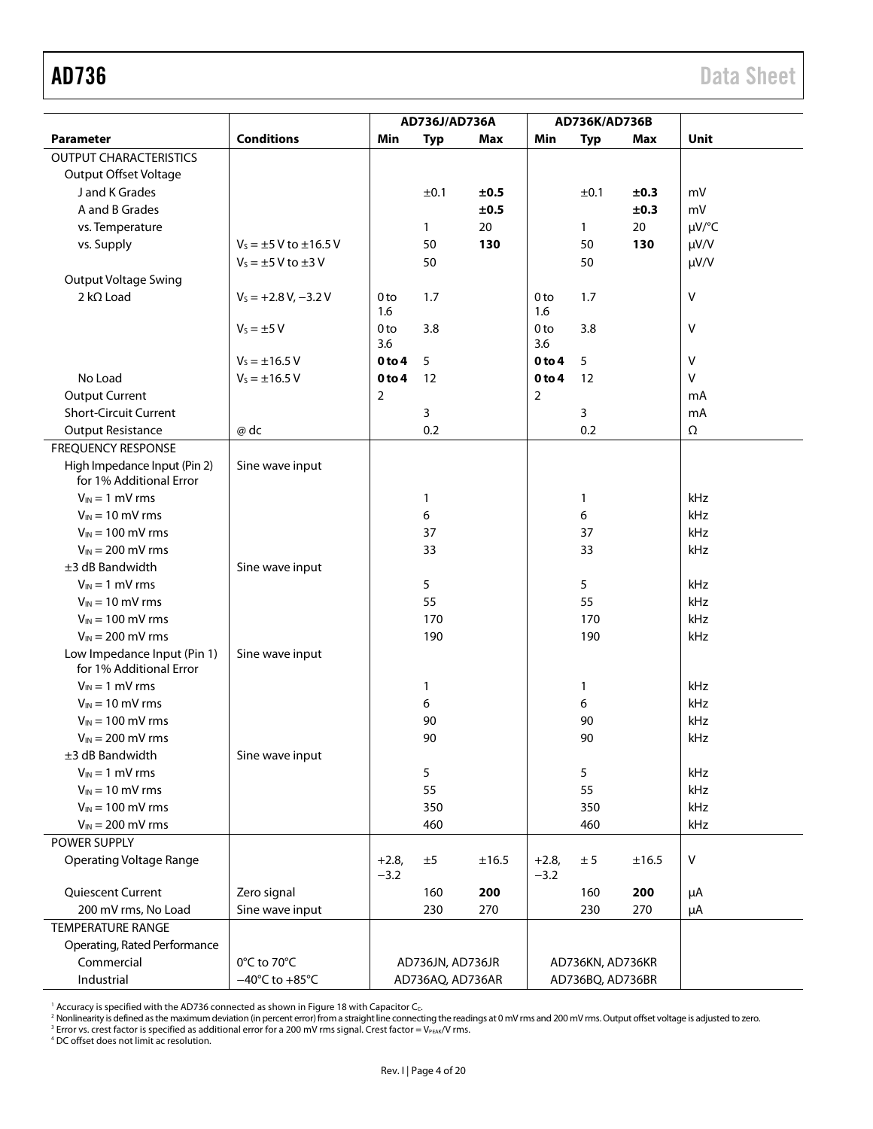<span id="page-3-0"></span>

|                                                         |                                    | AD736J/AD736A     |                  | AD736K/AD736B |                   |                  |            |           |
|---------------------------------------------------------|------------------------------------|-------------------|------------------|---------------|-------------------|------------------|------------|-----------|
| Parameter                                               | <b>Conditions</b>                  | Min               | <b>Typ</b>       | <b>Max</b>    | Min               | <b>Typ</b>       | <b>Max</b> | Unit      |
| <b>OUTPUT CHARACTERISTICS</b>                           |                                    |                   |                  |               |                   |                  |            |           |
| <b>Output Offset Voltage</b>                            |                                    |                   |                  |               |                   |                  |            |           |
| J and K Grades                                          |                                    |                   | ±0.1             | ±0.5          |                   | ±0.1             | ±0.3       | mV        |
| A and B Grades                                          |                                    |                   |                  | ±0.5          |                   |                  | ±0.3       | mV        |
| vs. Temperature                                         |                                    |                   | 1                | 20            |                   | 1                | 20         | µV/°C     |
| vs. Supply                                              | $V_5 = \pm 5$ V to $\pm 16.5$ V    |                   | 50               | 130           |                   | 50               | 130        | $\mu V/V$ |
|                                                         | $V_s = \pm 5$ V to $\pm 3$ V       |                   | 50               |               |                   | 50               |            | $\mu V/V$ |
| <b>Output Voltage Swing</b>                             |                                    |                   |                  |               |                   |                  |            |           |
| $2 k\Omega$ Load                                        | $V_s = +2.8 V, -3.2 V$             | 0 <sub>to</sub>   | 1.7              |               | 0 <sub>to</sub>   | 1.7              |            | ٧         |
|                                                         |                                    | 1.6               |                  |               | 1.6               |                  |            |           |
|                                                         | $V_s = \pm 5 V$                    | 0 <sub>to</sub>   | 3.8              |               | 0 <sub>to</sub>   | 3.8              |            | V         |
|                                                         |                                    | 3.6               |                  |               | 3.6               |                  |            |           |
|                                                         | $V_s = \pm 16.5 V$                 | 0 <sub>to 4</sub> | 5                |               | 0 <sub>to 4</sub> | 5                |            | V         |
| No Load                                                 | $V_s = \pm 16.5 V$                 | 0 <sub>to 4</sub> | 12               |               | 0 to 4            | 12               |            | $\vee$    |
| <b>Output Current</b>                                   |                                    | 2                 |                  |               | 2                 |                  |            | mA        |
| <b>Short-Circuit Current</b>                            |                                    |                   | 3                |               |                   | 3                |            | mA        |
| <b>Output Resistance</b>                                | @ dc                               |                   | 0.2              |               |                   | 0.2              |            | Ω         |
| <b>FREQUENCY RESPONSE</b>                               |                                    |                   |                  |               |                   |                  |            |           |
| High Impedance Input (Pin 2)<br>for 1% Additional Error | Sine wave input                    |                   |                  |               |                   |                  |            |           |
| $V_{IN} = 1$ mV rms                                     |                                    |                   | 1                |               |                   | 1                |            | kHz       |
| $V_{IN}$ = 10 mV rms                                    |                                    |                   | 6                |               |                   | 6                |            | kHz       |
| $V_{IN}$ = 100 mV rms                                   |                                    |                   | 37               |               |                   | 37               |            | kHz       |
| $V_{IN} = 200$ mV rms                                   |                                    |                   | 33               |               |                   | 33               |            | kHz       |
| $±3$ dB Bandwidth                                       | Sine wave input                    |                   |                  |               |                   |                  |            |           |
| $V_{IN} = 1$ mV rms                                     |                                    |                   | 5                |               |                   | 5                |            | kHz       |
| $V_{IN}$ = 10 mV rms                                    |                                    |                   | 55               |               |                   | 55               |            | kHz       |
| $V_{IN}$ = 100 mV rms                                   |                                    |                   | 170              |               |                   | 170              |            | kHz       |
| $V_{IN}$ = 200 mV rms                                   |                                    |                   | 190              |               |                   | 190              |            | kHz       |
| Low Impedance Input (Pin 1)                             | Sine wave input                    |                   |                  |               |                   |                  |            |           |
| for 1% Additional Error                                 |                                    |                   |                  |               |                   |                  |            |           |
| $V_{IN} = 1$ mV rms                                     |                                    |                   | 1                |               |                   | 1                |            | kHz       |
| $V_{IN}$ = 10 mV rms                                    |                                    |                   | 6                |               |                   | 6                |            | kHz       |
| $V_{IN}$ = 100 mV rms                                   |                                    |                   | 90               |               |                   | 90               |            | kHz       |
| $V_{IN}$ = 200 mV rms                                   |                                    |                   | 90               |               |                   | 90               |            | kHz       |
| ±3 dB Bandwidth                                         | Sine wave input                    |                   |                  |               |                   |                  |            |           |
| $V_{IN} = 1$ mV rms                                     |                                    |                   | 5                |               |                   | 5                |            | kHz       |
| $V_{IN} = 10$ mV rms                                    |                                    |                   | 55               |               |                   | 55               |            | kHz       |
| $V_{IN}$ = 100 mV rms                                   |                                    |                   | 350              |               |                   | 350              |            | kHz       |
| $V_{IN}$ = 200 mV rms                                   |                                    |                   | 460              |               |                   | 460              |            | kHz       |
| POWER SUPPLY                                            |                                    |                   |                  |               |                   |                  |            |           |
| <b>Operating Voltage Range</b>                          |                                    | $+2.8,$<br>$-3.2$ | ±5               | ±16.5         | $+2.8,$<br>$-3.2$ | ± 5              | ±16.5      | V         |
| Quiescent Current                                       | Zero signal                        |                   | 160              | 200           |                   | 160              | 200        | μA        |
| 200 mV rms, No Load                                     | Sine wave input                    |                   | 230              | 270           |                   | 230              | 270        | μA        |
| <b>TEMPERATURE RANGE</b>                                |                                    |                   |                  |               |                   |                  |            |           |
| Operating, Rated Performance                            |                                    |                   |                  |               |                   |                  |            |           |
| Commercial                                              | 0°C to 70°C                        |                   | AD736JN, AD736JR |               |                   | AD736KN, AD736KR |            |           |
| Industrial                                              | $-40^{\circ}$ C to $+85^{\circ}$ C |                   | AD736AQ, AD736AR |               |                   | AD736BQ, AD736BR |            |           |

' Accuracy is specified with the AD736 connected as shown i[n Figure 18](#page-9-2) with Capacitor C<sub>c</sub>.<br>? Nonlinearity is defined as the maximum deviation (in percent error) from a straight line connecting the readings at 0 mV rms and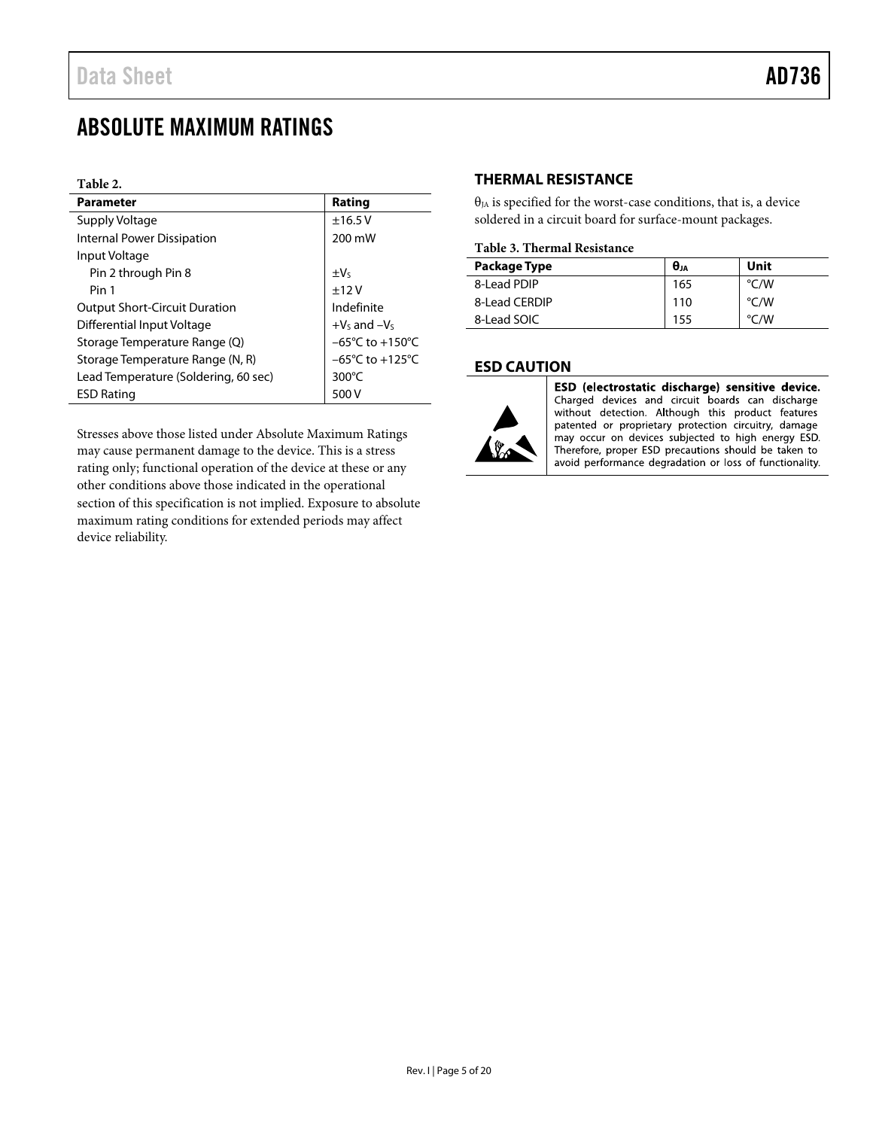### <span id="page-4-0"></span>ABSOLUTE MAXIMUM RATINGS

#### **Table 2.**

| <b>Parameter</b>                     | Rating                              |  |  |
|--------------------------------------|-------------------------------------|--|--|
| Supply Voltage                       | ±16.5V                              |  |  |
| <b>Internal Power Dissipation</b>    | 200 mW                              |  |  |
| Input Voltage                        |                                     |  |  |
| Pin 2 through Pin 8                  | $\pm V_5$                           |  |  |
| Pin 1                                | $+12V$                              |  |  |
| <b>Output Short-Circuit Duration</b> | Indefinite                          |  |  |
| Differential Input Voltage           | $+Vs$ and $-Vs$                     |  |  |
| Storage Temperature Range (Q)        | $-65^{\circ}$ C to $+150^{\circ}$ C |  |  |
| Storage Temperature Range (N, R)     | $-65^{\circ}$ C to $+125^{\circ}$ C |  |  |
| Lead Temperature (Soldering, 60 sec) | 300 $\degree$ C                     |  |  |
| <b>ESD Rating</b>                    | 500 V                               |  |  |

Stresses above those listed under Absolute Maximum Ratings may cause permanent damage to the device. This is a stress rating only; functional operation of the device at these or any other conditions above those indicated in the operational section of this specification is not implied. Exposure to absolute maximum rating conditions for extended periods may affect device reliability.

#### <span id="page-4-1"></span>**THERMAL RESISTANCE**

 $\theta_{JA}$  is specified for the worst-case conditions, that is, a device soldered in a circuit board for surface-mount packages.

#### **Table 3. Thermal Resistance**

| Package Type  | $\theta$ JA | Unit               |  |  |  |  |  |
|---------------|-------------|--------------------|--|--|--|--|--|
| 8-Lead PDIP   | 165         | $\degree$ C/W      |  |  |  |  |  |
| 8-Lead CERDIP | 110         | $\rm ^{\circ}$ C/W |  |  |  |  |  |
| 8-Lead SOIC   | 155         | $\rm ^{\circ}$ C/W |  |  |  |  |  |

#### <span id="page-4-2"></span>**ESD CAUTION**



ESD (electrostatic discharge) sensitive device. Charged devices and circuit boards can discharge without detection. Although this product features patented or proprietary protection circuitry, damage may occur on devices subjected to high energy ESD.<br>Therefore, proper ESD precautions should be taken to avoid performance degradation or loss of functionality.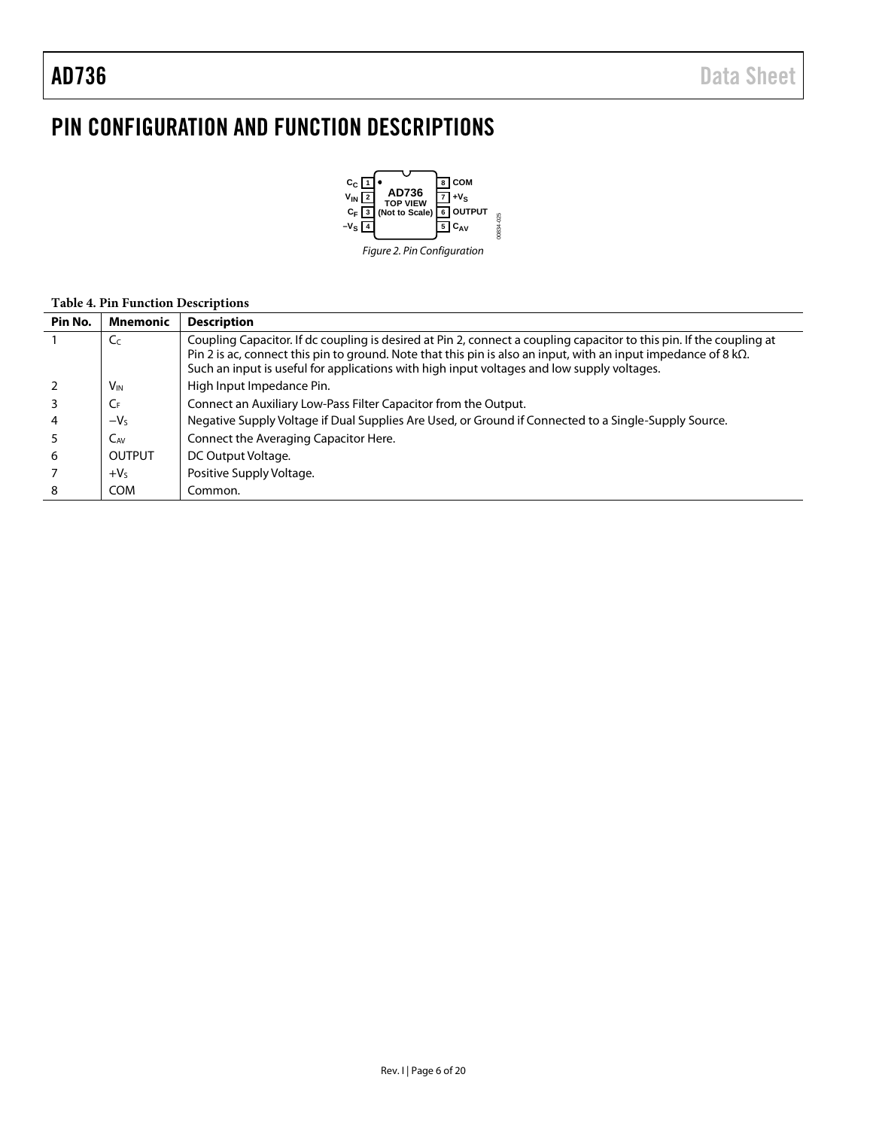### <span id="page-5-0"></span>PIN CONFIGURATION AND FUNCTION DESCRIPTIONS



#### **Table 4. Pin Function Descriptions**

| Pin No. | <b>Mnemonic</b>       | <b>Description</b>                                                                                                                                                                                                                                                                                                                           |
|---------|-----------------------|----------------------------------------------------------------------------------------------------------------------------------------------------------------------------------------------------------------------------------------------------------------------------------------------------------------------------------------------|
|         | C <sub>C</sub>        | Coupling Capacitor. If dc coupling is desired at Pin 2, connect a coupling capacitor to this pin. If the coupling at<br>Pin 2 is ac, connect this pin to ground. Note that this pin is also an input, with an input impedance of 8 $k\Omega$ .<br>Such an input is useful for applications with high input voltages and low supply voltages. |
|         | <b>V<sub>IN</sub></b> | High Input Impedance Pin.                                                                                                                                                                                                                                                                                                                    |
|         | $C_{F}$               | Connect an Auxiliary Low-Pass Filter Capacitor from the Output.                                                                                                                                                                                                                                                                              |
|         | $-VS$                 | Negative Supply Voltage if Dual Supplies Are Used, or Ground if Connected to a Single-Supply Source.                                                                                                                                                                                                                                         |
|         | C <sub>AV</sub>       | Connect the Averaging Capacitor Here.                                                                                                                                                                                                                                                                                                        |
| 6       | <b>OUTPUT</b>         | DC Output Voltage.                                                                                                                                                                                                                                                                                                                           |
|         | $+VS$                 | Positive Supply Voltage.                                                                                                                                                                                                                                                                                                                     |
|         | <b>COM</b>            | Common.                                                                                                                                                                                                                                                                                                                                      |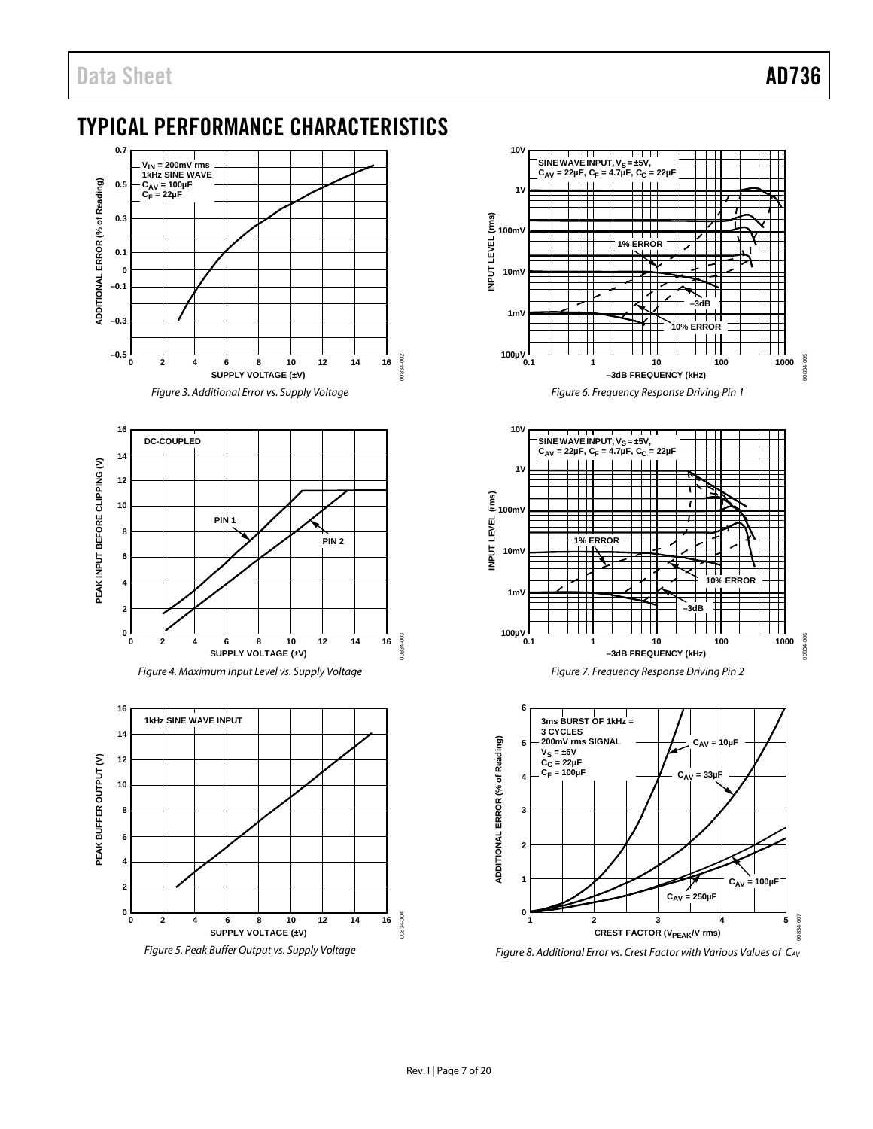### <span id="page-6-0"></span>TYPICAL PERFORMANCE CHARACTERISTICS



*Figure 3. Additional Error vs. Supply Voltage*









*Figure 6. Frequency Response Driving Pin 1*





<span id="page-6-1"></span>*Figure 8. Additional Error vs. Crest Factor with Various Values of CAV*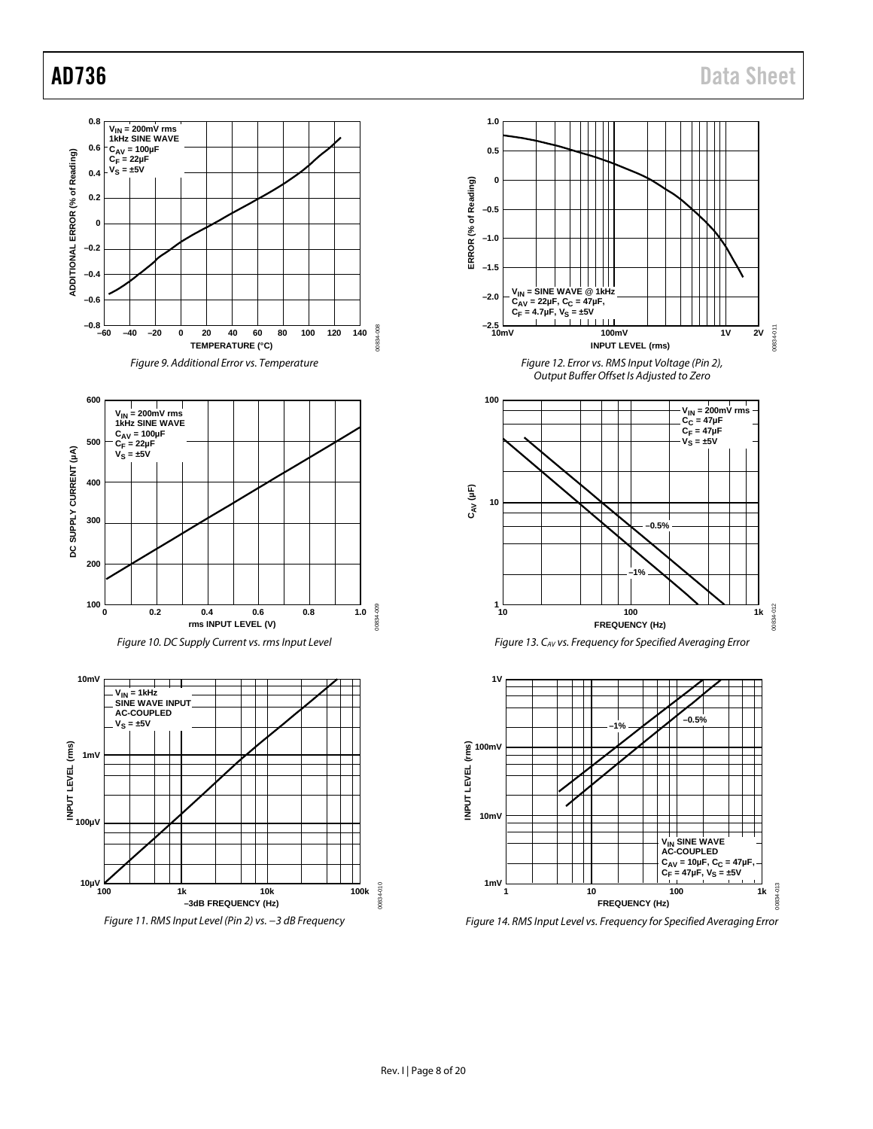







*Figure 14. RMS Input Level vs. Frequency for Specified Averaging Error*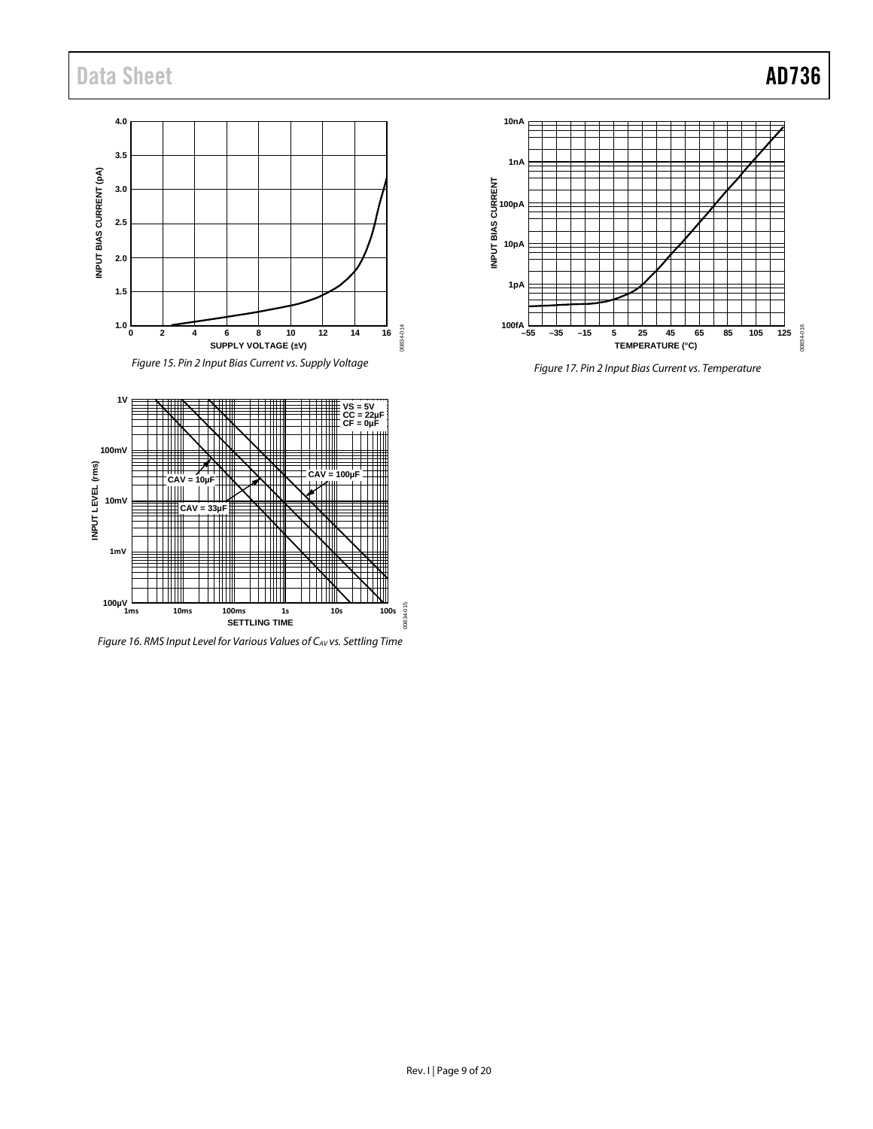## Data Sheet **AD736**

### **4.0 3.5** INPUT BIAS CURRENT (pA) **INPUT BIAS CURRENT (pA) 3.0 2.5 2.0 1.5**  $1.0<sub>0</sub>$ 00834-014 00834-014 **0 2 4 6 8 10 12 14 16 SUPPLY VOLTAGE (±V)**

*Figure 15. Pin 2 Input Bias Current vs. Supply Voltage*



*Figure 17. Pin 2 Input Bias Current vs. Temperature*



<span id="page-8-0"></span>*Figure 16. RMS Input Level for Various Values of CAV vs. Settling Time*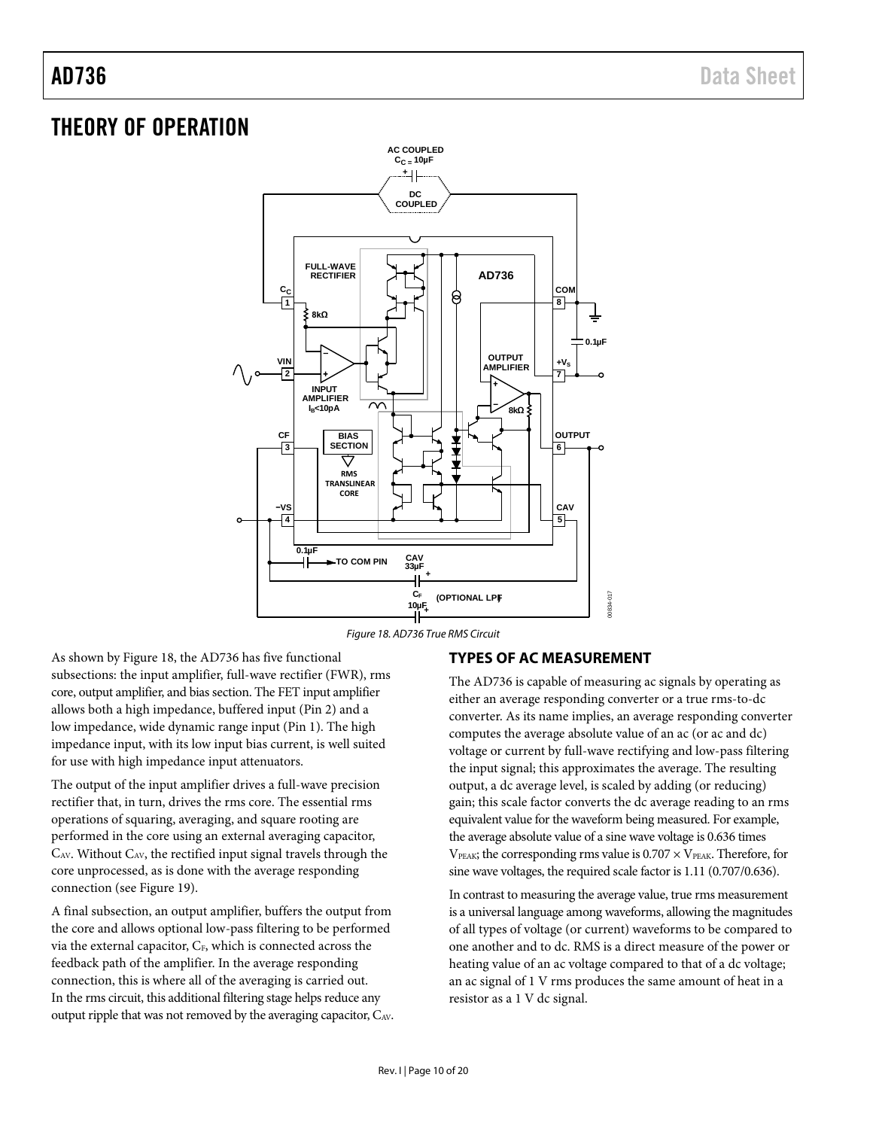### <span id="page-9-0"></span>THEORY OF OPERATION



*Figure 18. AD736 True RMS Circuit*

<span id="page-9-2"></span>As shown b[y Figure 18,](#page-9-2) the AD736 has five functional subsections: the input amplifier, full-wave rectifier (FWR), rms core, output amplifier, and bias section. The FET input amplifier allows both a high impedance, buffered input (Pin 2) and a low impedance, wide dynamic range input (Pin 1). The high impedance input, with its low input bias current, is well suited for use with high impedance input attenuators.

The output of the input amplifier drives a full-wave precision rectifier that, in turn, drives the rms core. The essential rms operations of squaring, averaging, and square rooting are performed in the core using an external averaging capacitor, CAV. Without CAV, the rectified input signal travels through the core unprocessed, as is done with the average responding connection (see [Figure 19\)](#page-11-3).

A final subsection, an output amplifier, buffers the output from the core and allows optional low-pass filtering to be performed via the external capacitor, CF, which is connected across the feedback path of the amplifier. In the average responding connection, this is where all of the averaging is carried out. In the rms circuit, this additional filtering stage helps reduce any output ripple that was not removed by the averaging capacitor, CAV.

### <span id="page-9-1"></span>**TYPES OF AC MEASUREMENT**

The AD736 is capable of measuring ac signals by operating as either an average responding converter or a true rms-to-dc converter. As its name implies, an average responding converter computes the average absolute value of an ac (or ac and dc) voltage or current by full-wave rectifying and low-pass filtering the input signal; this approximates the average. The resulting output, a dc average level, is scaled by adding (or reducing) gain; this scale factor converts the dc average reading to an rms equivalent value for the waveform being measured. For example, the average absolute value of a sine wave voltage is 0.636 times  $V_{\text{PEAK}}$ ; the corresponding rms value is  $0.707 \times V_{\text{PEAK}}$ . Therefore, for sine wave voltages, the required scale factor is 1.11 (0.707/0.636).

In contrast to measuring the average value, true rms measurement is a universal language among waveforms, allowing the magnitudes of all types of voltage (or current) waveforms to be compared to one another and to dc. RMS is a direct measure of the power or heating value of an ac voltage compared to that of a dc voltage; an ac signal of 1 V rms produces the same amount of heat in a resistor as a 1 V dc signal.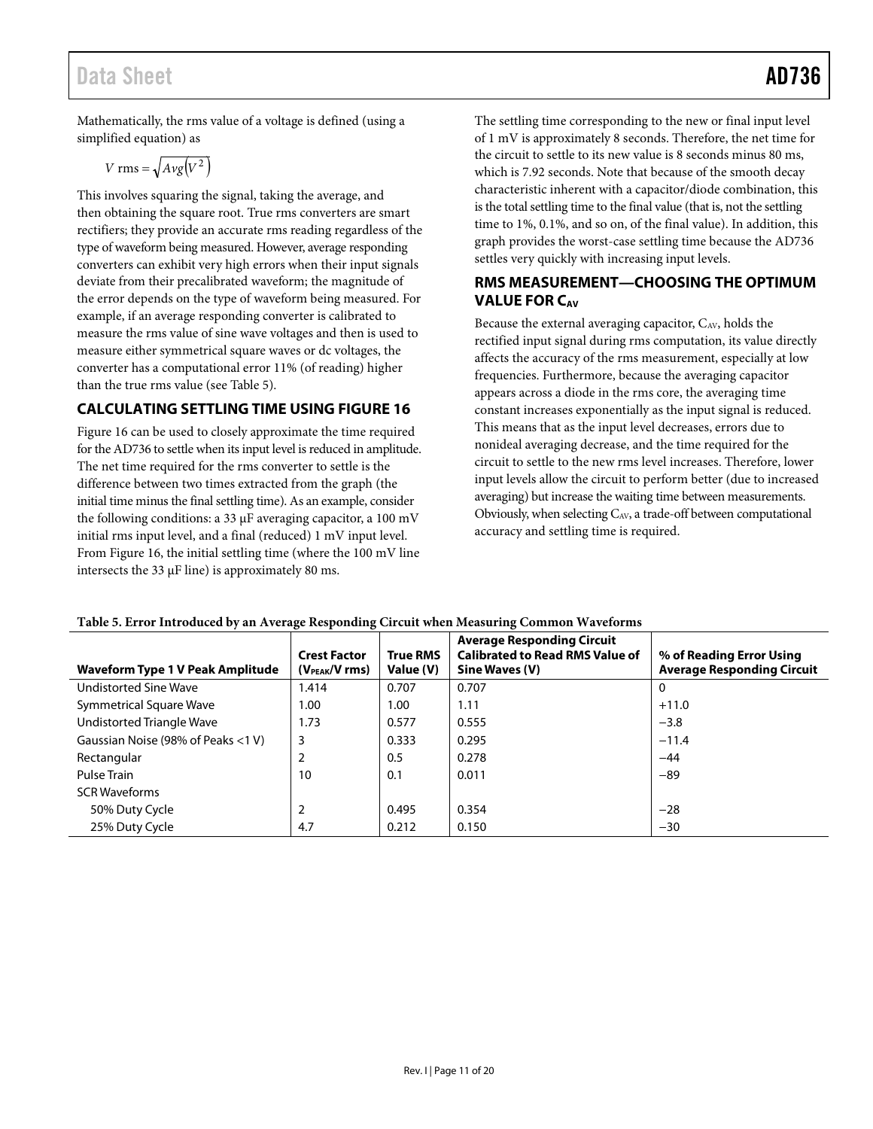### Data Sheet **AD736**

Mathematically, the rms value of a voltage is defined (using a simplified equation) as

$$
V \text{ rms} = \sqrt{Avg(V^2)}
$$

This involves squaring the signal, taking the average, and then obtaining the square root. True rms converters are smart rectifiers; they provide an accurate rms reading regardless of the type of waveform being measured. However, average responding converters can exhibit very high errors when their input signals deviate from their precalibrated waveform; the magnitude of the error depends on the type of waveform being measured. For example, if an average responding converter is calibrated to measure the rms value of sine wave voltages and then is used to measure either symmetrical square waves or dc voltages, the converter has a computational error 11% (of reading) higher than the true rms value (se[e Table 5\)](#page-10-2).

### <span id="page-10-0"></span>**CALCULATING SETTLING TIME USING FIGURE 16**

[Figure 16](#page-8-0) can be used to closely approximate the time required for the AD736 to settle when its input level is reduced in amplitude. The net time required for the rms converter to settle is the difference between two times extracted from the graph (the initial time minus the final settling time). As an example, consider the following conditions: a 33 µF averaging capacitor, a 100 mV initial rms input level, and a final (reduced) 1 mV input level. From [Figure 16,](#page-8-0) the initial settling time (where the 100 mV line intersects the 33 µF line) is approximately 80 ms.

The settling time corresponding to the new or final input level of 1 mV is approximately 8 seconds. Therefore, the net time for the circuit to settle to its new value is 8 seconds minus 80 ms, which is 7.92 seconds. Note that because of the smooth decay characteristic inherent with a capacitor/diode combination, this is the total settling time to the final value (that is, not the settling time to 1%, 0.1%, and so on, of the final value). In addition, this graph provides the worst-case settling time because the AD736 settles very quickly with increasing input levels.

#### <span id="page-10-1"></span>**RMS MEASUREMENT—CHOOSING THE OPTIMUM VALUE FOR CAV**

Because the external averaging capacitor,  $C_{AV}$ , holds the rectified input signal during rms computation, its value directly affects the accuracy of the rms measurement, especially at low frequencies. Furthermore, because the averaging capacitor appears across a diode in the rms core, the averaging time constant increases exponentially as the input signal is reduced. This means that as the input level decreases, errors due to nonideal averaging decrease, and the time required for the circuit to settle to the new rms level increases. Therefore, lower input levels allow the circuit to perform better (due to increased averaging) but increase the waiting time between measurements. Obviously, when selecting  $C_{AV}$ , a trade-off between computational accuracy and settling time is required.

| <b>Waveform Type 1 V Peak Amplitude</b> | <b>Crest Factor</b><br>$(V_{PEAK}/V$ rms) | <b>True RMS</b><br>Value (V) | <b>Average Responding Circuit</b><br><b>Calibrated to Read RMS Value of</b><br>Sine Waves (V) | % of Reading Error Using<br><b>Average Responding Circuit</b> |
|-----------------------------------------|-------------------------------------------|------------------------------|-----------------------------------------------------------------------------------------------|---------------------------------------------------------------|
| <b>Undistorted Sine Wave</b>            | 1.414                                     | 0.707                        | 0.707                                                                                         | 0                                                             |
| Symmetrical Square Wave                 | 1.00                                      | 1.00                         | 1.11                                                                                          | $+11.0$                                                       |
| Undistorted Triangle Wave               | 1.73                                      | 0.577                        | 0.555                                                                                         | $-3.8$                                                        |
| Gaussian Noise (98% of Peaks <1 V)      | 3                                         | 0.333                        | 0.295                                                                                         | $-11.4$                                                       |
| Rectangular                             |                                           | 0.5                          | 0.278                                                                                         | $-44$                                                         |
| Pulse Train                             | 10                                        | 0.1                          | 0.011                                                                                         | $-89$                                                         |
| <b>SCR Waveforms</b>                    |                                           |                              |                                                                                               |                                                               |
| 50% Duty Cycle                          | 2                                         | 0.495                        | 0.354                                                                                         | $-28$                                                         |
| 25% Duty Cycle                          | 4.7                                       | 0.212                        | 0.150                                                                                         | $-30$                                                         |

#### <span id="page-10-2"></span>**Table 5. Error Introduced by an Average Responding Circuit when Measuring Common Waveforms**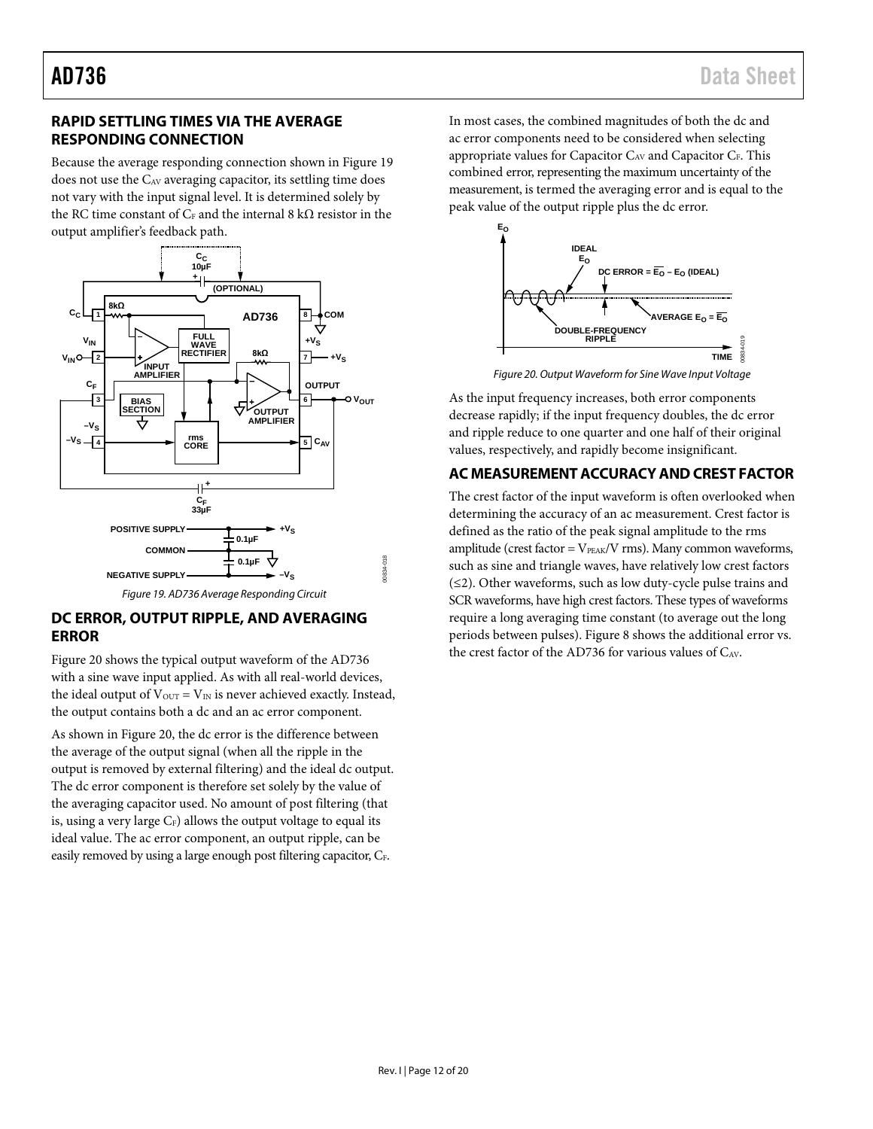### <span id="page-11-0"></span>**RAPID SETTLING TIMES VIA THE AVERAGE RESPONDING CONNECTION**

Because the average responding connection shown i[n Figure 19](#page-11-3) does not use the CAV averaging capacitor, its settling time does not vary with the input signal level. It is determined solely by the RC time constant of  $C_F$  and the internal 8 k $\Omega$  resistor in the output amplifier's feedback path.



#### *Figure 19. AD736 Average Responding Circuit*

#### <span id="page-11-3"></span><span id="page-11-1"></span>**DC ERROR, OUTPUT RIPPLE, AND AVERAGING ERROR**

[Figure 20](#page-11-4) shows the typical output waveform of the AD736 with a sine wave input applied. As with all real-world devices, the ideal output of  $V_{\text{OUT}} = V_{\text{IN}}$  is never achieved exactly. Instead, the output contains both a dc and an ac error component.

As shown in [Figure 20,](#page-11-4) the dc error is the difference between the average of the output signal (when all the ripple in the output is removed by external filtering) and the ideal dc output. The dc error component is therefore set solely by the value of the averaging capacitor used. No amount of post filtering (that is, using a very large  $C_F$ ) allows the output voltage to equal its ideal value. The ac error component, an output ripple, can be easily removed by using a large enough post filtering capacitor, CF.

In most cases, the combined magnitudes of both the dc and ac error components need to be considered when selecting appropriate values for Capacitor C<sub>AV</sub> and Capacitor C<sub>F</sub>. This combined error, representing the maximum uncertainty of the measurement, is termed the averaging error and is equal to the peak value of the output ripple plus the dc error.



*Figure 20. Output Waveform for Sine Wave Input Voltage*

<span id="page-11-4"></span>As the input frequency increases, both error components decrease rapidly; if the input frequency doubles, the dc error and ripple reduce to one quarter and one half of their original values, respectively, and rapidly become insignificant.

#### <span id="page-11-2"></span>**AC MEASUREMENT ACCURACY AND CREST FACTOR**

The crest factor of the input waveform is often overlooked when determining the accuracy of an ac measurement. Crest factor is defined as the ratio of the peak signal amplitude to the rms amplitude (crest factor =  $V_{PEAK}/V$  rms). Many common waveforms, such as sine and triangle waves, have relatively low crest factors (≤2). Other waveforms, such as low duty-cycle pulse trains and SCR waveforms, have high crest factors. These types of waveforms require a long averaging time constant (to average out the long periods between pulses)[. Figure 8](#page-6-1) shows the additional error vs. the crest factor of the AD736 for various values of CAV.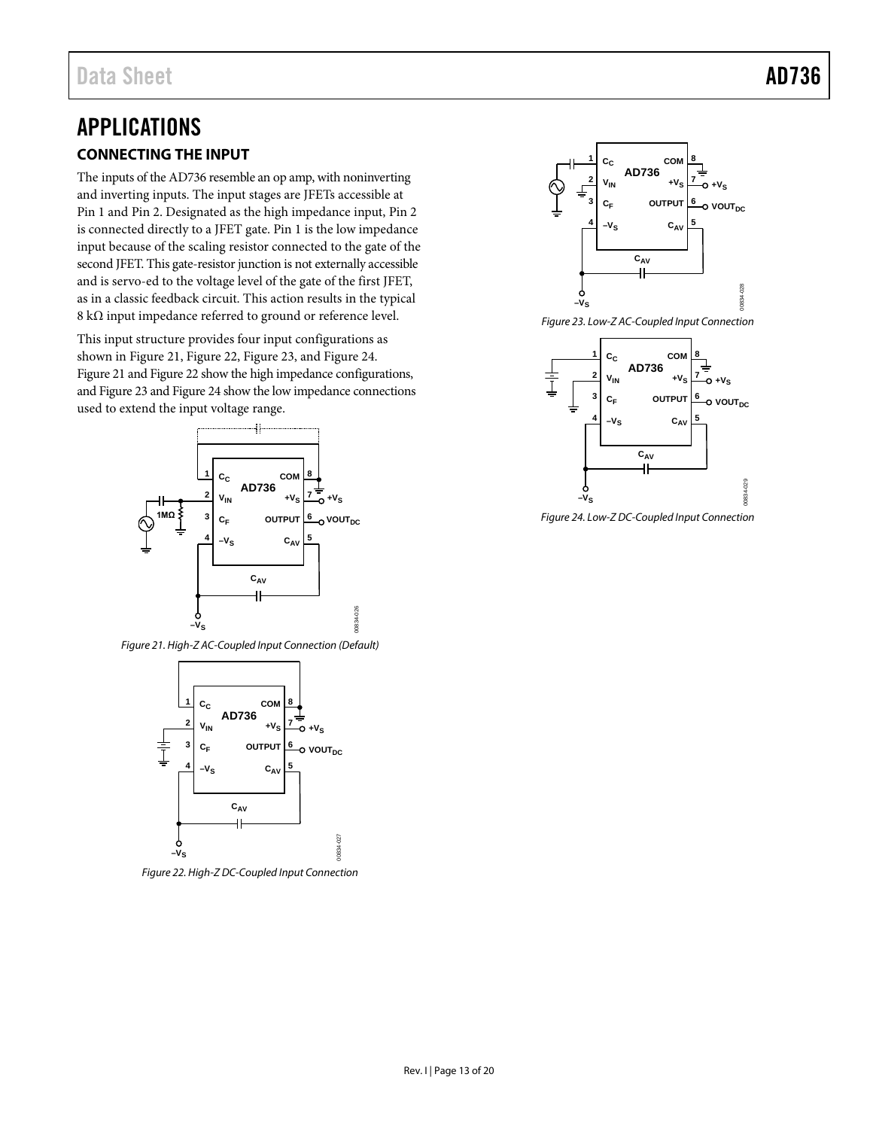### <span id="page-12-1"></span><span id="page-12-0"></span>APPLICATIONS **CONNECTING THE INPUT**

The inputs of the AD736 resemble an op amp, with noninverting and inverting inputs. The input stages are JFETs accessible at Pin 1 and Pin 2. Designated as the high impedance input, Pin 2 is connected directly to a JFET gate. Pin 1 is the low impedance input because of the scaling resistor connected to the gate of the second JFET. This gate-resistor junction is not externally accessible and is servo-ed to the voltage level of the gate of the first JFET, as in a classic feedback circuit. This action results in the typical 8 kΩ input impedance referred to ground or reference level.

This input structure provides four input configurations as shown in [Figure 21,](#page-12-2) [Figure 22,](#page-12-3) [Figure 23,](#page-12-4) and [Figure 24.](#page-12-5)  [Figure 21](#page-12-2) an[d Figure 22](#page-12-3) show the high impedance configurations, and [Figure 23](#page-12-4) an[d Figure 24](#page-12-5) show the low impedance connections used to extend the input voltage range.



<span id="page-12-2"></span>*Figure 21. High-Z AC-Coupled Input Connection (Default)*



<span id="page-12-3"></span>*Figure 22. High-Z DC-Coupled Input Connection*



<span id="page-12-4"></span>

<span id="page-12-5"></span>*Figure 24. Low-Z DC-Coupled Input Connection*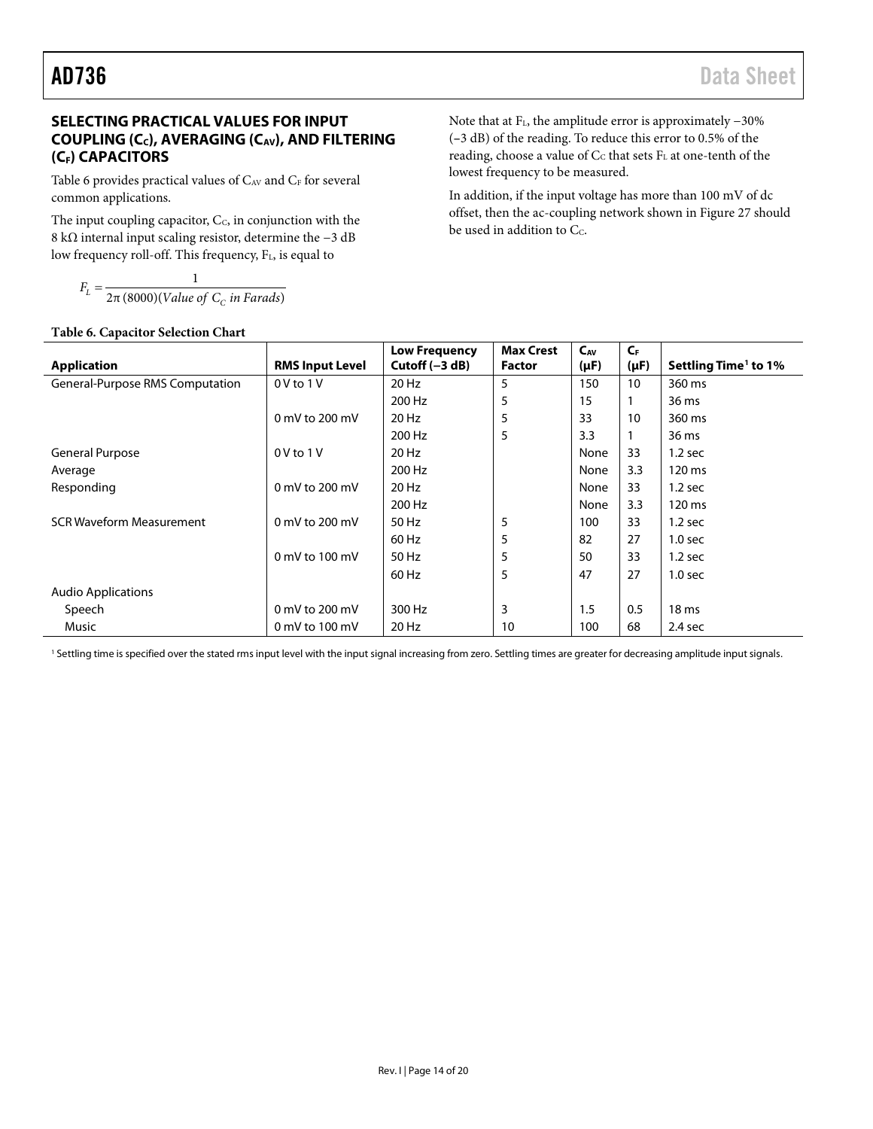### <span id="page-13-0"></span>**SELECTING PRACTICAL VALUES FOR INPUT**  COUPLING (C<sub>C</sub>), AVERAGING (C<sub>AV</sub>), AND FILTERING **(CF) CAPACITORS**

[Table 6](#page-13-1) provides practical values of  $C_{AV}$  and  $C_{F}$  for several common applications.

The input coupling capacitor,  $C_c$ , in conjunction with the 8 kΩ internal input scaling resistor, determine the −3 dB low frequency roll-off. This frequency, F<sub>L</sub>, is equal to

2π (8000)(Value of  $\mathit{C}_\mathit{C}$  in Farads) 1  $F_L = \frac{1}{2\pi (8000)(Value of C_c in Farads)}$  $E_L = \frac{1}{2\pi (8000)(Value of C_C)}$ 

#### <span id="page-13-1"></span>**Table 6. Capacitor Selection Chart**

Note that at FL, the amplitude error is approximately −30% (**–**3 dB) of the reading. To reduce this error to 0.5% of the reading, choose a value of Cc that sets FL at one-tenth of the lowest frequency to be measured.

In addition, if the input voltage has more than 100 mV of dc offset, then the ac-coupling network shown in [Figure 27](#page-15-0) should be used in addition to  $C_c$ .

|                                 |                        | <b>Low Frequency</b> | <b>Max Crest</b> | $C_{AV}$  | $C_{\rm F}$ |                                  |
|---------------------------------|------------------------|----------------------|------------------|-----------|-------------|----------------------------------|
| <b>Application</b>              | <b>RMS Input Level</b> | Cutoff $(-3 dB)$     | <b>Factor</b>    | $(\mu F)$ | $(\mu F)$   | Settling Time <sup>1</sup> to 1% |
| General-Purpose RMS Computation | $0V$ to $1V$           | 20 Hz                | 5                | 150       | 10          | 360 ms                           |
|                                 |                        | 200 Hz               | 5                | 15        |             | 36 ms                            |
|                                 | 0 mV to 200 mV         | 20 Hz                | 5                | 33        | 10          | 360 ms                           |
|                                 |                        | 200 Hz               | 5                | 3.3       |             | 36 ms                            |
| <b>General Purpose</b>          | $0V$ to $1V$           | 20 Hz                |                  | None      | 33          | $1.2$ sec                        |
| Average                         |                        | 200 Hz               |                  | None      | 3.3         | 120 ms                           |
| Responding                      | 0 mV to 200 mV         | 20 Hz                |                  | None      | 33          | $1.2$ sec                        |
|                                 |                        | 200 Hz               |                  | None      | 3.3         | 120 ms                           |
| <b>SCR Waveform Measurement</b> | 0 mV to 200 mV         | 50 Hz                | 5                | 100       | 33          | $1.2$ sec                        |
|                                 |                        | 60 Hz                | 5                | 82        | 27          | 1.0 <sub>sec</sub>               |
|                                 | 0 mV to $100$ mV       | 50 Hz                | 5                | 50        | 33          | $1.2$ sec                        |
|                                 |                        | 60 Hz                | 5                | 47        | 27          | 1.0 <sub>sec</sub>               |
| <b>Audio Applications</b>       |                        |                      |                  |           |             |                                  |
| Speech                          | 0 mV to 200 mV         | 300 Hz               | 3                | 1.5       | 0.5         | 18 <sub>ms</sub>                 |
| <b>Music</b>                    | 0 mV to 100 mV         | 20 Hz                | 10               | 100       | 68          | $2.4$ sec                        |

<sup>1</sup> Settling time is specified over the stated rms input level with the input signal increasing from zero. Settling times are greater for decreasing amplitude input signals.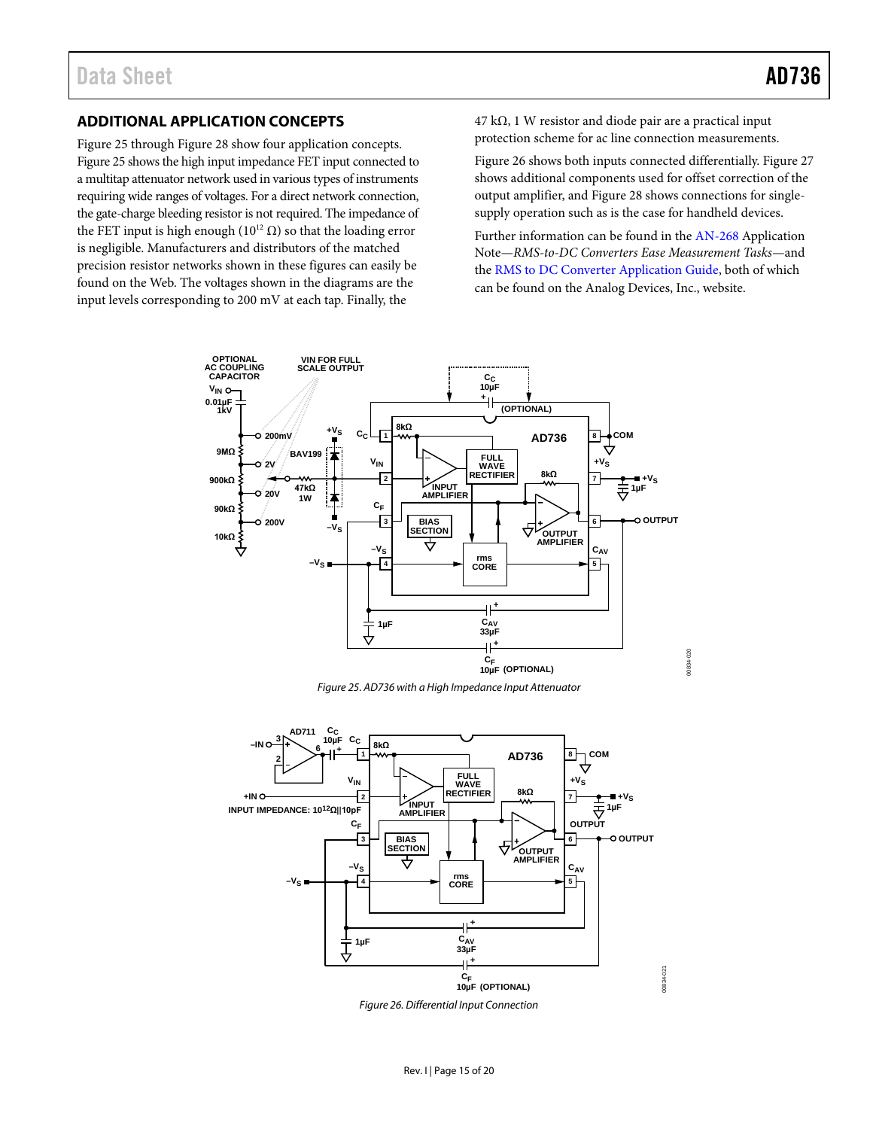#### <span id="page-14-0"></span>**ADDITIONAL APPLICATION CONCEPTS**

[Figure 25](#page-14-1) throug[h Figure 28](#page-15-1) show four application concepts. [Figure 25](#page-14-1) shows the high input impedance FET input connected to a multitap attenuator network used in various types of instruments requiring wide ranges of voltages. For a direct network connection, the gate-charge bleeding resistor is not required. The impedance of the FET input is high enough ( $10^{12}$  Ω) so that the loading error is negligible. Manufacturers and distributors of the matched precision resistor networks shown in these figures can easily be found on the Web. The voltages shown in the diagrams are the input levels corresponding to 200 mV at each tap. Finally, the

 $47 \text{ k}\Omega$ , 1 W resistor and diode pair are a practical input protection scheme for ac line connection measurements.

[Figure 26](#page-14-2) shows both inputs connected differentially[. Figure 27](#page-15-0) shows additional components used for offset correction of the output amplifier, and [Figure 28](#page-15-1) shows connections for singlesupply operation such as is the case for handheld devices.

Further information can be found in the [AN-268](http://www.analog.com/AN-268) Application Note—*RMS-to-DC Converters Ease Measurement Tasks*—and the [RMS to DC Converter Application Guide,](http://www.analog.com/rms-dc-appguide) both of which can be found on the Analog Devices, Inc., website.

00834-020

0834-020



*Figure 25. AD736 with a High Impedance Input Attenuator*

<span id="page-14-2"></span><span id="page-14-1"></span>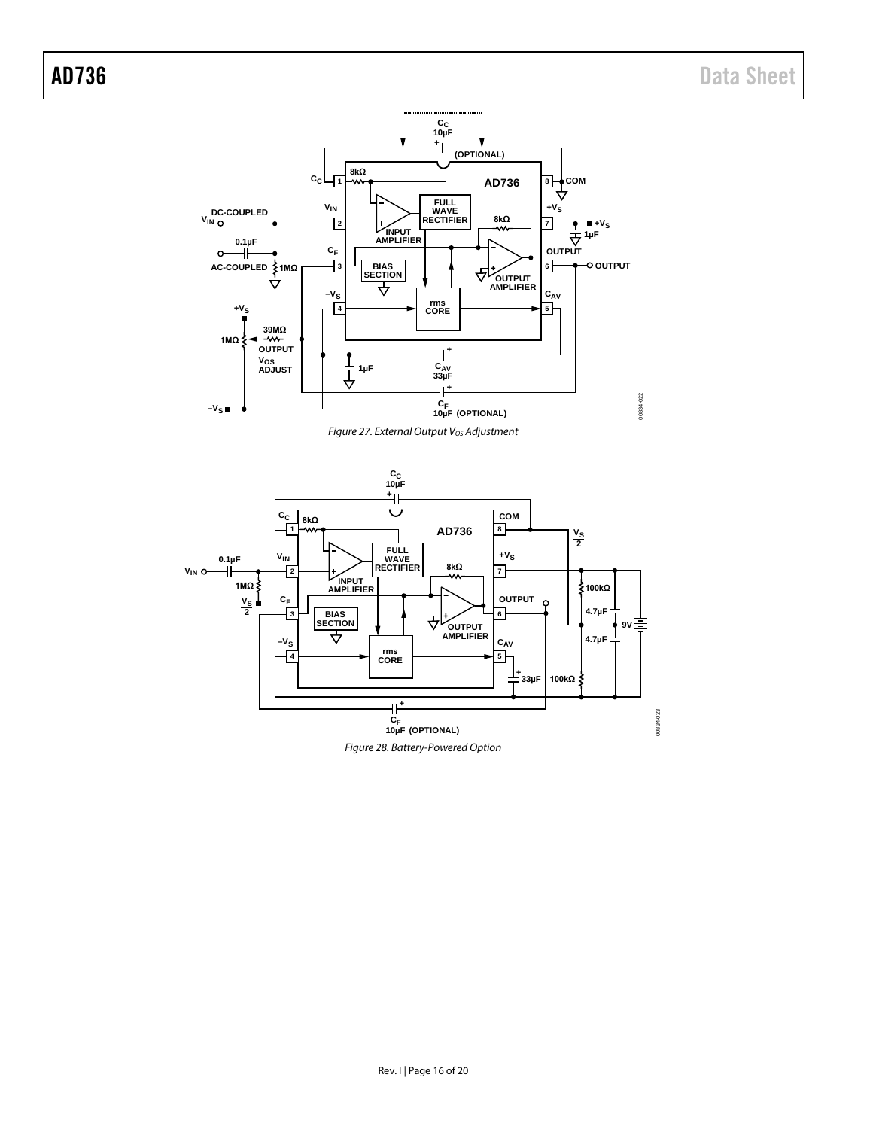



<span id="page-15-1"></span><span id="page-15-0"></span>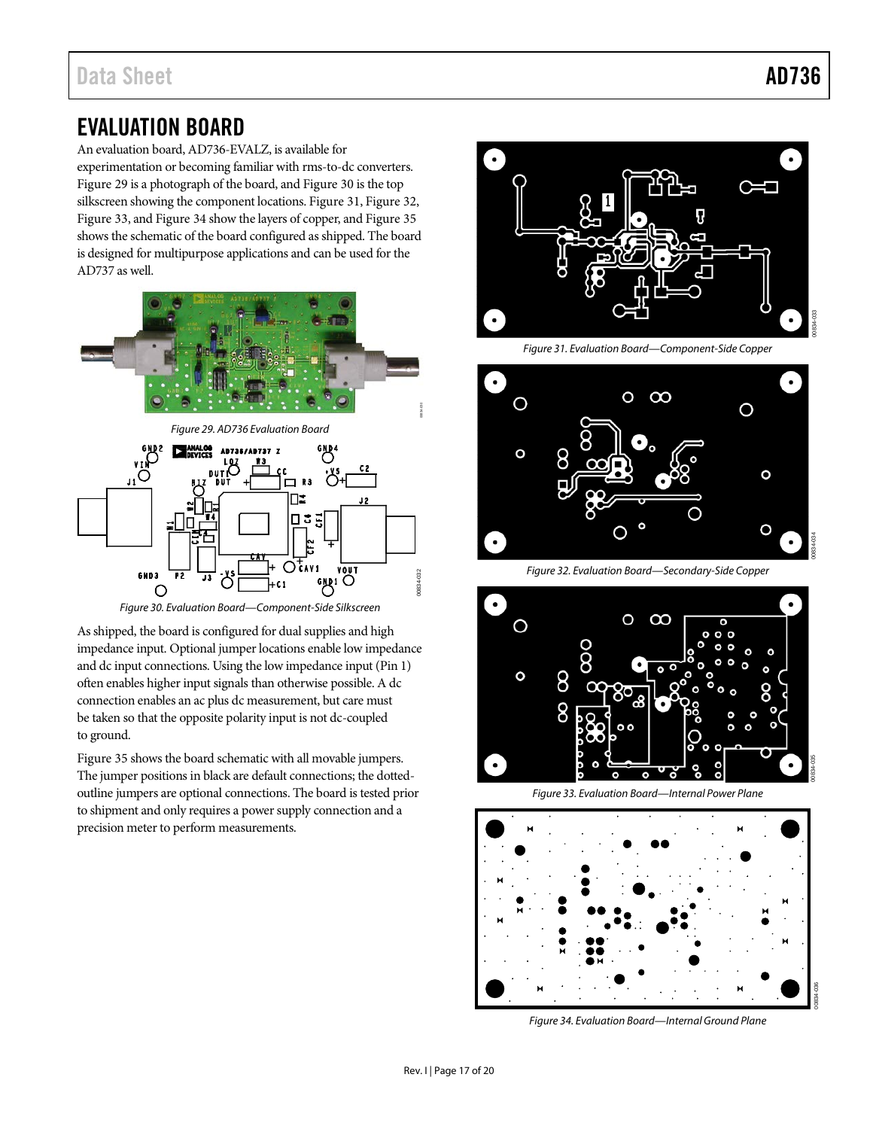00834-035

### <span id="page-16-0"></span>EVALUATION BOARD

An evaluation board, AD736-EVALZ, is available for experimentation or becoming familiar with rms-to-dc converters. [Figure 29](#page-16-1) is a photograph of the board, an[d Figure 30](#page-16-2) is the top silkscreen showing the component locations[. Figure 31,](#page-16-3) [Figure 32,](#page-16-4)  [Figure 33,](#page-16-5) an[d Figure 34](#page-16-6) show the layers of copper, an[d Figure 35](#page-17-0) shows the schematic of the board configured as shipped. The board is designed for multipurpose applications and can be used for the AD737 as well.

<span id="page-16-1"></span>

*Figure 30. Evaluation Board—Component-Side Silkscreen*

<span id="page-16-2"></span>As shipped, the board is configured for dual supplies and high impedance input. Optional jumper locations enable low impedance and dc input connections. Using the low impedance input (Pin 1) often enables higher input signals than otherwise possible. A dc connection enables an ac plus dc measurement, but care must be taken so that the opposite polarity input is not dc-coupled to ground.

[Figure 35](#page-17-0) shows the board schematic with all movable jumpers. The jumper positions in black are default connections; the dottedoutline jumpers are optional connections. The board is tested prior to shipment and only requires a power supply connection and a precision meter to perform measurements.



*Figure 31. Evaluation Board—Component-Side Copper*

<span id="page-16-3"></span>

*Figure 32. Evaluation Board—Secondary-Side Copper*

<span id="page-16-4"></span>

*Figure 33. Evaluation Board—Internal Power Plane*

<span id="page-16-5"></span>

<span id="page-16-6"></span>*Figure 34. Evaluation Board—Internal Ground Plane*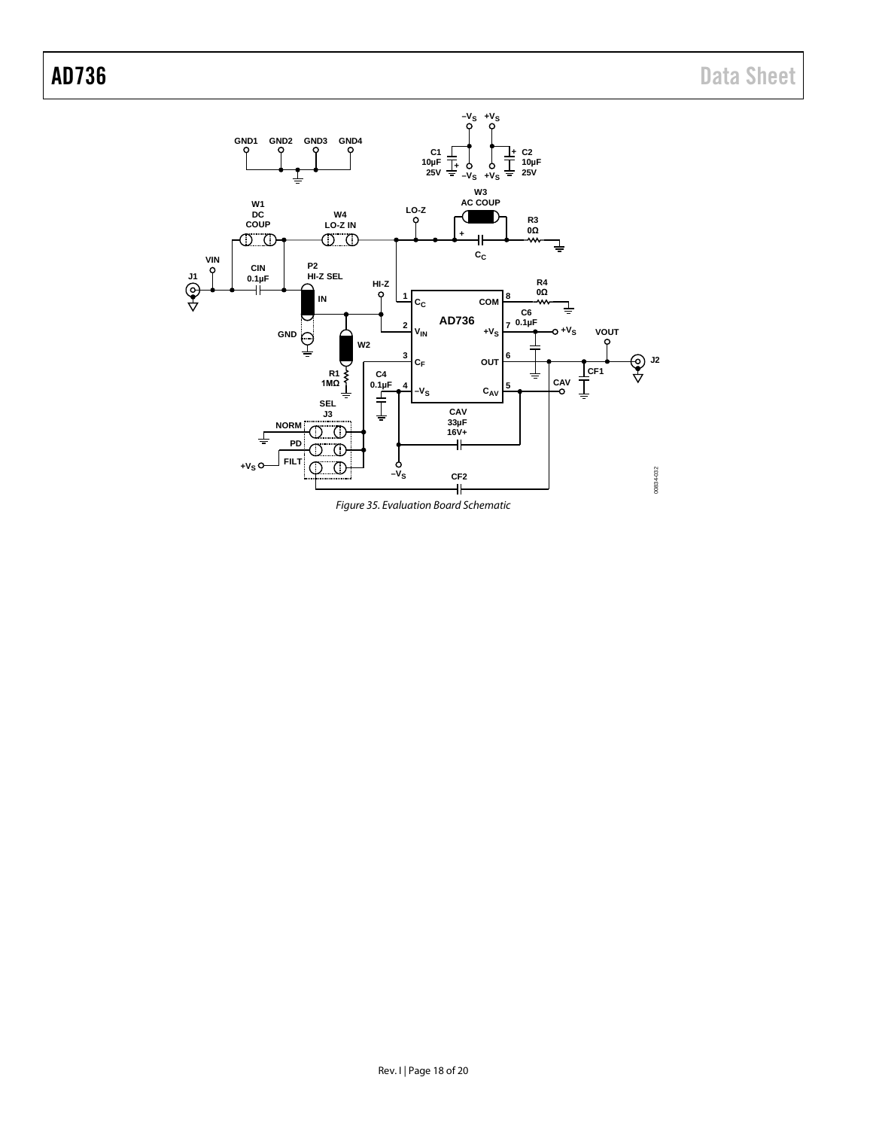

<span id="page-17-0"></span>*Figure 35. Evaluation Board Schematic*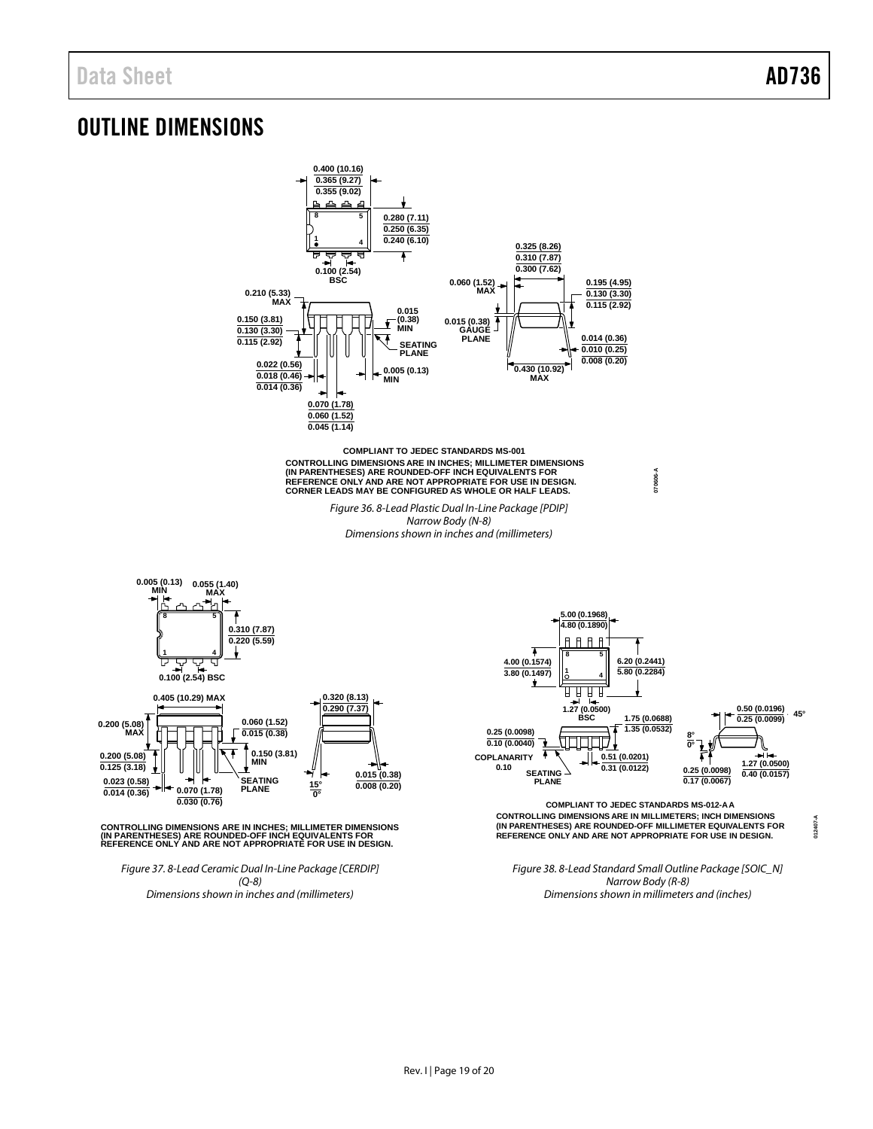**0.200 (5.08) MAX**

**012407-A**

### <span id="page-18-0"></span>OUTLINE DIMENSIONS



*Dimensions shown in inches and (millimeters)*

*Dimensions shown in millimeters and (inches)*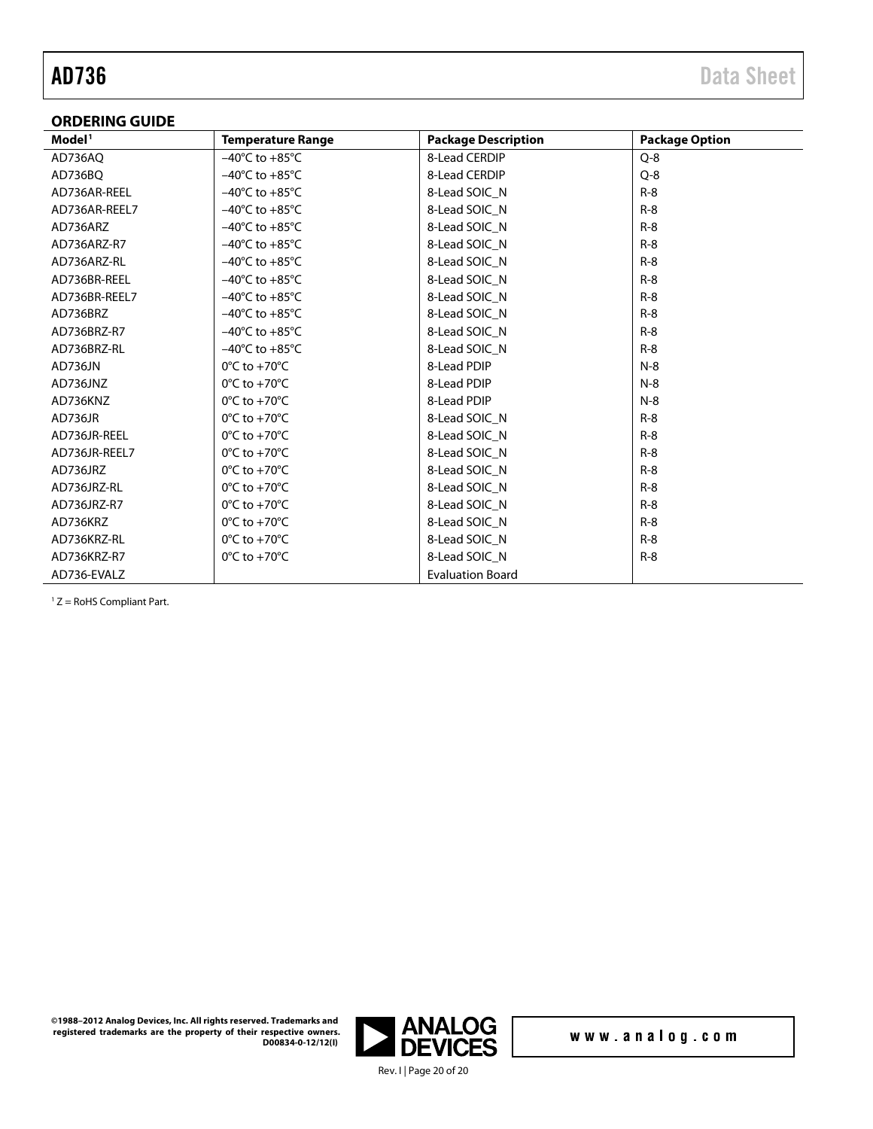#### <span id="page-19-0"></span>**ORDERING GUIDE**

| Model <sup>1</sup> | <b>Temperature Range</b>           | <b>Package Description</b> | <b>Package Option</b> |
|--------------------|------------------------------------|----------------------------|-----------------------|
| AD736AQ            | $-40^{\circ}$ C to $+85^{\circ}$ C | 8-Lead CERDIP              | $Q - 8$               |
| AD736BQ            | $-40^{\circ}$ C to $+85^{\circ}$ C | 8-Lead CERDIP              | $Q - 8$               |
| AD736AR-REEL       | $-40^{\circ}$ C to $+85^{\circ}$ C | 8-Lead SOIC N              | $R-8$                 |
| AD736AR-REEL7      | $-40^{\circ}$ C to $+85^{\circ}$ C | 8-Lead SOIC N              | $R-8$                 |
| AD736ARZ           | $-40^{\circ}$ C to $+85^{\circ}$ C | 8-Lead SOIC_N              | $R-8$                 |
| AD736ARZ-R7        | $-40^{\circ}$ C to $+85^{\circ}$ C | 8-Lead SOIC_N              | $R-8$                 |
| AD736ARZ-RL        | $-40^{\circ}$ C to $+85^{\circ}$ C | 8-Lead SOIC N              | $R-8$                 |
| AD736BR-REEL       | $-40^{\circ}$ C to $+85^{\circ}$ C | 8-Lead SOIC N              | $R-8$                 |
| AD736BR-REEL7      | $-40^{\circ}$ C to $+85^{\circ}$ C | 8-Lead SOIC N              | $R-8$                 |
| AD736BRZ           | $-40^{\circ}$ C to $+85^{\circ}$ C | 8-Lead SOIC N              | $R-8$                 |
| AD736BRZ-R7        | $-40^{\circ}$ C to $+85^{\circ}$ C | 8-Lead SOIC_N              | $R-8$                 |
| AD736BRZ-RL        | $-40^{\circ}$ C to $+85^{\circ}$ C | 8-Lead SOIC N              | $R-8$                 |
| AD736JN            | $0^{\circ}$ C to +70 $^{\circ}$ C  | 8-Lead PDIP                | $N-8$                 |
| AD736JNZ           | $0^{\circ}$ C to +70 $^{\circ}$ C  | 8-Lead PDIP                | $N-8$                 |
| AD736KNZ           | $0^{\circ}$ C to +70 $^{\circ}$ C  | 8-Lead PDIP                | $N-8$                 |
| AD736JR            | $0^{\circ}$ C to +70 $^{\circ}$ C  | 8-Lead SOIC N              | $R-8$                 |
| AD736JR-REEL       | $0^{\circ}$ C to +70 $^{\circ}$ C  | 8-Lead SOIC N              | $R-8$                 |
| AD736JR-REEL7      | $0^{\circ}$ C to +70 $^{\circ}$ C  | 8-Lead SOIC N              | $R-8$                 |
| AD736JRZ           | $0^{\circ}$ C to +70 $^{\circ}$ C  | 8-Lead SOIC N              | $R-8$                 |
| AD736JRZ-RL        | $0^{\circ}$ C to +70 $^{\circ}$ C  | 8-Lead SOIC N              | $R-8$                 |
| AD736JRZ-R7        | $0^{\circ}$ C to +70 $^{\circ}$ C  | 8-Lead SOIC N              | $R-8$                 |
| AD736KRZ           | $0^{\circ}$ C to +70 $^{\circ}$ C  | 8-Lead SOIC N              | $R-8$                 |
| AD736KRZ-RL        | $0^{\circ}$ C to +70 $^{\circ}$ C  | 8-Lead SOIC N              | $R-8$                 |
| AD736KRZ-R7        | $0^{\circ}$ C to +70 $^{\circ}$ C  | 8-Lead SOIC_N              | $R-8$                 |
| AD736-EVALZ        |                                    | <b>Evaluation Board</b>    |                       |

<span id="page-19-1"></span> $1 Z =$  RoHS Compliant Part.

**©1988–2012 Analog Devices, Inc. All rights reserved. Trademarks and registered trademarks are the property of their respective owners. D00834-0-12/12(I)**



www.analog.com